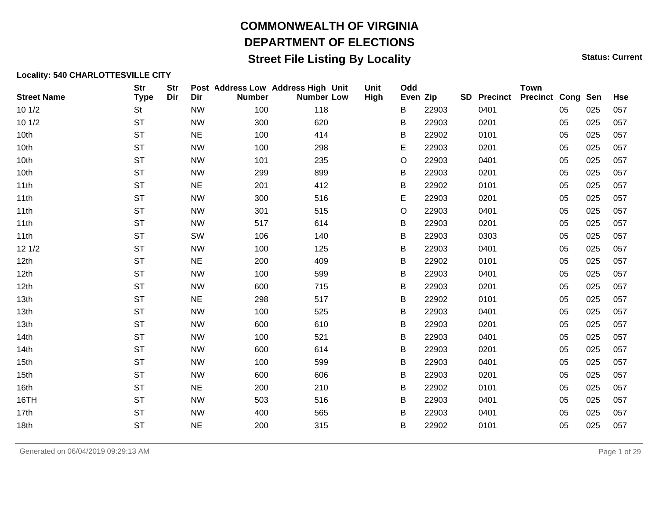### **Street File Listing By Locality Status: Current** Status: Current

| <b>Street Name</b> | <b>Str</b><br><b>Type</b> | <b>Str</b><br>Dir | Dir       | Post Address Low Address High Unit<br><b>Number</b> | <b>Number Low</b> | Unit<br>High | Odd<br>Even Zip |       | <b>SD</b> Precinct | <b>Town</b><br><b>Precinct Cong Sen</b> |    |     | <b>Hse</b> |
|--------------------|---------------------------|-------------------|-----------|-----------------------------------------------------|-------------------|--------------|-----------------|-------|--------------------|-----------------------------------------|----|-----|------------|
| 101/2              | <b>St</b>                 |                   | <b>NW</b> | 100                                                 | 118               |              | B               | 22903 | 0401               |                                         | 05 | 025 | 057        |
| 101/2              | <b>ST</b>                 |                   | <b>NW</b> | 300                                                 | 620               |              | B               | 22903 | 0201               |                                         | 05 | 025 | 057        |
| 10th               | <b>ST</b>                 |                   | <b>NE</b> | 100                                                 | 414               |              | B               | 22902 | 0101               |                                         | 05 | 025 | 057        |
| 10th               | <b>ST</b>                 |                   | <b>NW</b> | 100                                                 | 298               |              | E               | 22903 | 0201               |                                         | 05 | 025 | 057        |
| 10th               | <b>ST</b>                 |                   | <b>NW</b> | 101                                                 | 235               |              | O               | 22903 | 0401               |                                         | 05 | 025 | 057        |
| 10th               | <b>ST</b>                 |                   | <b>NW</b> | 299                                                 | 899               |              | В               | 22903 | 0201               |                                         | 05 | 025 | 057        |
| 11th               | <b>ST</b>                 |                   | <b>NE</b> | 201                                                 | 412               |              | В               | 22902 | 0101               |                                         | 05 | 025 | 057        |
| 11th               | <b>ST</b>                 |                   | <b>NW</b> | 300                                                 | 516               |              | E               | 22903 | 0201               |                                         | 05 | 025 | 057        |
| 11th               | <b>ST</b>                 |                   | <b>NW</b> | 301                                                 | 515               |              | O               | 22903 | 0401               |                                         | 05 | 025 | 057        |
| 11th               | <b>ST</b>                 |                   | <b>NW</b> | 517                                                 | 614               |              | B               | 22903 | 0201               |                                         | 05 | 025 | 057        |
| 11th               | <b>ST</b>                 |                   | SW        | 106                                                 | 140               |              | B               | 22903 | 0303               |                                         | 05 | 025 | 057        |
| 121/2              | <b>ST</b>                 |                   | <b>NW</b> | 100                                                 | 125               |              | В               | 22903 | 0401               |                                         | 05 | 025 | 057        |
| 12th               | <b>ST</b>                 |                   | <b>NE</b> | 200                                                 | 409               |              | В               | 22902 | 0101               |                                         | 05 | 025 | 057        |
| 12th               | <b>ST</b>                 |                   | <b>NW</b> | 100                                                 | 599               |              | B               | 22903 | 0401               |                                         | 05 | 025 | 057        |
| 12th               | <b>ST</b>                 |                   | <b>NW</b> | 600                                                 | 715               |              | В               | 22903 | 0201               |                                         | 05 | 025 | 057        |
| 13th               | <b>ST</b>                 |                   | NE        | 298                                                 | 517               |              | B               | 22902 | 0101               |                                         | 05 | 025 | 057        |
| 13th               | <b>ST</b>                 |                   | <b>NW</b> | 100                                                 | 525               |              | B               | 22903 | 0401               |                                         | 05 | 025 | 057        |
| 13th               | <b>ST</b>                 |                   | <b>NW</b> | 600                                                 | 610               |              | В               | 22903 | 0201               |                                         | 05 | 025 | 057        |
| 14th               | <b>ST</b>                 |                   | <b>NW</b> | 100                                                 | 521               |              | В               | 22903 | 0401               |                                         | 05 | 025 | 057        |
| 14th               | <b>ST</b>                 |                   | <b>NW</b> | 600                                                 | 614               |              | B               | 22903 | 0201               |                                         | 05 | 025 | 057        |
| 15th               | <b>ST</b>                 |                   | <b>NW</b> | 100                                                 | 599               |              | В               | 22903 | 0401               |                                         | 05 | 025 | 057        |
| 15th               | <b>ST</b>                 |                   | <b>NW</b> | 600                                                 | 606               |              | B               | 22903 | 0201               |                                         | 05 | 025 | 057        |
| 16th               | <b>ST</b>                 |                   | <b>NE</b> | 200                                                 | 210               |              | В               | 22902 | 0101               |                                         | 05 | 025 | 057        |
| 16TH               | <b>ST</b>                 |                   | <b>NW</b> | 503                                                 | 516               |              | B               | 22903 | 0401               |                                         | 05 | 025 | 057        |
| 17th               | <b>ST</b>                 |                   | <b>NW</b> | 400                                                 | 565               |              | B               | 22903 | 0401               |                                         | 05 | 025 | 057        |
| 18th               | <b>ST</b>                 |                   | NE        | 200                                                 | 315               |              | B               | 22902 | 0101               |                                         | 05 | 025 | 057        |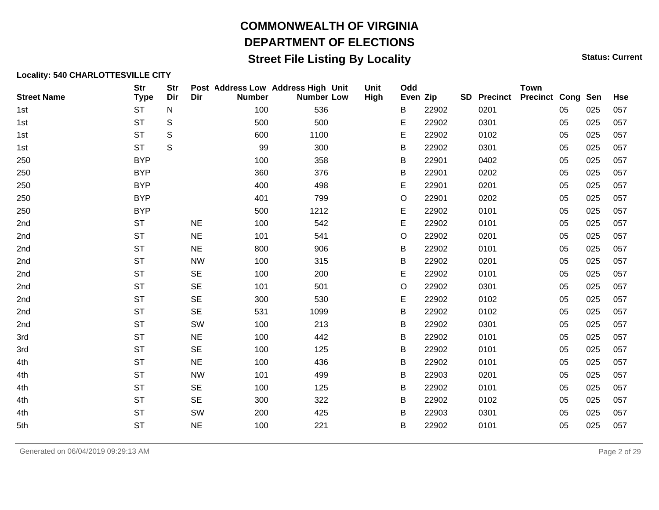### **Street File Listing By Locality Status: Current** Status: Current

#### **Locality: 540 CHARLOTTESVILLE CITY**

| <b>Street Name</b> | <b>Str</b><br><b>Type</b> | <b>Str</b><br>Dir | Dir       | Post Address Low Address High Unit<br><b>Number</b> | <b>Number Low</b> | Unit<br>High | Odd<br>Even Zip |       | <b>SD</b> Precinct | <b>Town</b><br><b>Precinct Cong Sen</b> |    |     | <b>Hse</b> |
|--------------------|---------------------------|-------------------|-----------|-----------------------------------------------------|-------------------|--------------|-----------------|-------|--------------------|-----------------------------------------|----|-----|------------|
| 1st                | <b>ST</b>                 | N                 |           | 100                                                 | 536               |              | B               | 22902 | 0201               |                                         | 05 | 025 | 057        |
| 1st                | <b>ST</b>                 | S                 |           | 500                                                 | 500               |              | Е               | 22902 | 0301               |                                         | 05 | 025 | 057        |
| 1st                | <b>ST</b>                 | S                 |           | 600                                                 | 1100              |              | E               | 22902 | 0102               |                                         | 05 | 025 | 057        |
| 1st                | <b>ST</b>                 | S                 |           | 99                                                  | 300               |              | B               | 22902 | 0301               |                                         | 05 | 025 | 057        |
| 250                | <b>BYP</b>                |                   |           | 100                                                 | 358               |              | B               | 22901 | 0402               |                                         | 05 | 025 | 057        |
| 250                | <b>BYP</b>                |                   |           | 360                                                 | 376               |              | В               | 22901 | 0202               |                                         | 05 | 025 | 057        |
| 250                | <b>BYP</b>                |                   |           | 400                                                 | 498               |              | E               | 22901 | 0201               |                                         | 05 | 025 | 057        |
| 250                | <b>BYP</b>                |                   |           | 401                                                 | 799               |              | O               | 22901 | 0202               |                                         | 05 | 025 | 057        |
| 250                | <b>BYP</b>                |                   |           | 500                                                 | 1212              |              | E               | 22902 | 0101               |                                         | 05 | 025 | 057        |
| 2nd                | <b>ST</b>                 |                   | <b>NE</b> | 100                                                 | 542               |              | E               | 22902 | 0101               |                                         | 05 | 025 | 057        |
| 2nd                | <b>ST</b>                 |                   | <b>NE</b> | 101                                                 | 541               |              | O               | 22902 | 0201               |                                         | 05 | 025 | 057        |
| 2nd                | <b>ST</b>                 |                   | NE        | 800                                                 | 906               |              | В               | 22902 | 0101               |                                         | 05 | 025 | 057        |
| 2nd                | <b>ST</b>                 |                   | <b>NW</b> | 100                                                 | 315               |              | B               | 22902 | 0201               |                                         | 05 | 025 | 057        |
| 2nd                | <b>ST</b>                 |                   | <b>SE</b> | 100                                                 | 200               |              | Е               | 22902 | 0101               |                                         | 05 | 025 | 057        |
| 2nd                | <b>ST</b>                 |                   | <b>SE</b> | 101                                                 | 501               |              | O               | 22902 | 0301               |                                         | 05 | 025 | 057        |
| 2nd                | <b>ST</b>                 |                   | <b>SE</b> | 300                                                 | 530               |              | E               | 22902 | 0102               |                                         | 05 | 025 | 057        |
| 2nd                | <b>ST</b>                 |                   | <b>SE</b> | 531                                                 | 1099              |              | В               | 22902 | 0102               |                                         | 05 | 025 | 057        |
| 2nd                | <b>ST</b>                 |                   | SW        | 100                                                 | 213               |              | B               | 22902 | 0301               |                                         | 05 | 025 | 057        |
| 3rd                | <b>ST</b>                 |                   | <b>NE</b> | 100                                                 | 442               |              | В               | 22902 | 0101               |                                         | 05 | 025 | 057        |
| 3rd                | <b>ST</b>                 |                   | <b>SE</b> | 100                                                 | 125               |              | B               | 22902 | 0101               |                                         | 05 | 025 | 057        |
| 4th                | <b>ST</b>                 |                   | NE        | 100                                                 | 436               |              | B               | 22902 | 0101               |                                         | 05 | 025 | 057        |
| 4th                | <b>ST</b>                 |                   | <b>NW</b> | 101                                                 | 499               |              | B               | 22903 | 0201               |                                         | 05 | 025 | 057        |
| 4th                | <b>ST</b>                 |                   | <b>SE</b> | 100                                                 | 125               |              | B               | 22902 | 0101               |                                         | 05 | 025 | 057        |
| 4th                | <b>ST</b>                 |                   | <b>SE</b> | 300                                                 | 322               |              | В               | 22902 | 0102               |                                         | 05 | 025 | 057        |
| 4th                | <b>ST</b>                 |                   | SW        | 200                                                 | 425               |              | B               | 22903 | 0301               |                                         | 05 | 025 | 057        |
| 5th                | <b>ST</b>                 |                   | <b>NE</b> | 100                                                 | 221               |              | В               | 22902 | 0101               |                                         | 05 | 025 | 057        |

Generated on 06/04/2019 09:29:13 AM Page 2 of 29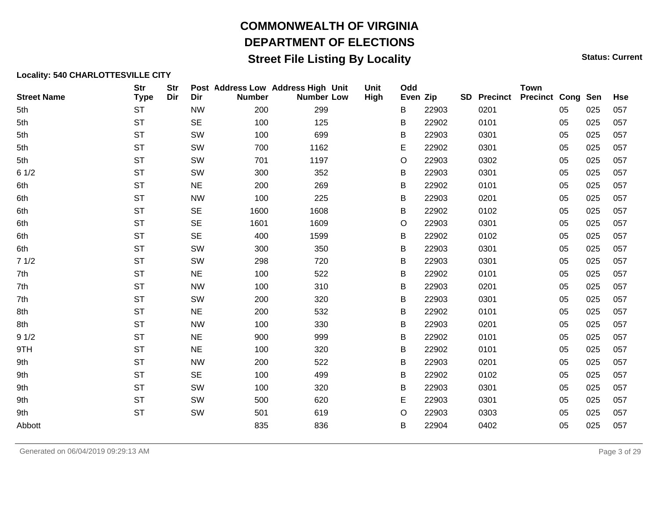### **Street File Listing By Locality Status: Current** Status: Current

| <b>Street Name</b> | <b>Str</b><br><b>Type</b> | <b>Str</b><br>Dir | Dir       | Post Address Low Address High Unit<br><b>Number</b> | <b>Number Low</b> | Unit<br><b>High</b> | Odd<br>Even Zip |       | <b>SD</b> Precinct | <b>Town</b><br><b>Precinct Cong Sen</b> |    |     | <b>Hse</b> |
|--------------------|---------------------------|-------------------|-----------|-----------------------------------------------------|-------------------|---------------------|-----------------|-------|--------------------|-----------------------------------------|----|-----|------------|
| 5th                | <b>ST</b>                 |                   | <b>NW</b> | 200                                                 | 299               |                     | В               | 22903 | 0201               |                                         | 05 | 025 | 057        |
| 5th                | <b>ST</b>                 |                   | <b>SE</b> | 100                                                 | 125               |                     | В               | 22902 | 0101               |                                         | 05 | 025 | 057        |
| 5th                | <b>ST</b>                 |                   | SW        | 100                                                 | 699               |                     | В               | 22903 | 0301               |                                         | 05 | 025 | 057        |
| 5th                | <b>ST</b>                 |                   | SW        | 700                                                 | 1162              |                     | E               | 22902 | 0301               |                                         | 05 | 025 | 057        |
| 5th                | <b>ST</b>                 |                   | SW        | 701                                                 | 1197              |                     | O               | 22903 | 0302               |                                         | 05 | 025 | 057        |
| 61/2               | <b>ST</b>                 |                   | SW        | 300                                                 | 352               |                     | В               | 22903 | 0301               |                                         | 05 | 025 | 057        |
| 6th                | <b>ST</b>                 |                   | <b>NE</b> | 200                                                 | 269               |                     | В               | 22902 | 0101               |                                         | 05 | 025 | 057        |
| 6th                | <b>ST</b>                 |                   | <b>NW</b> | 100                                                 | 225               |                     | Β               | 22903 | 0201               |                                         | 05 | 025 | 057        |
| 6th                | <b>ST</b>                 |                   | <b>SE</b> | 1600                                                | 1608              |                     | В               | 22902 | 0102               |                                         | 05 | 025 | 057        |
| 6th                | <b>ST</b>                 |                   | <b>SE</b> | 1601                                                | 1609              |                     | O               | 22903 | 0301               |                                         | 05 | 025 | 057        |
| 6th                | <b>ST</b>                 |                   | <b>SE</b> | 400                                                 | 1599              |                     | В               | 22902 | 0102               |                                         | 05 | 025 | 057        |
| 6th                | <b>ST</b>                 |                   | SW        | 300                                                 | 350               |                     | В               | 22903 | 0301               |                                         | 05 | 025 | 057        |
| 71/2               | <b>ST</b>                 |                   | SW        | 298                                                 | 720               |                     | В               | 22903 | 0301               |                                         | 05 | 025 | 057        |
| 7th                | <b>ST</b>                 |                   | <b>NE</b> | 100                                                 | 522               |                     | В               | 22902 | 0101               |                                         | 05 | 025 | 057        |
| 7th                | <b>ST</b>                 |                   | <b>NW</b> | 100                                                 | 310               |                     | B               | 22903 | 0201               |                                         | 05 | 025 | 057        |
| 7th                | <b>ST</b>                 |                   | SW        | 200                                                 | 320               |                     | В               | 22903 | 0301               |                                         | 05 | 025 | 057        |
| 8th                | <b>ST</b>                 |                   | <b>NE</b> | 200                                                 | 532               |                     | В               | 22902 | 0101               |                                         | 05 | 025 | 057        |
| 8th                | <b>ST</b>                 |                   | <b>NW</b> | 100                                                 | 330               |                     | Β               | 22903 | 0201               |                                         | 05 | 025 | 057        |
| 91/2               | <b>ST</b>                 |                   | <b>NE</b> | 900                                                 | 999               |                     | В               | 22902 | 0101               |                                         | 05 | 025 | 057        |
| 9TH                | <b>ST</b>                 |                   | <b>NE</b> | 100                                                 | 320               |                     | В               | 22902 | 0101               |                                         | 05 | 025 | 057        |
| 9th                | <b>ST</b>                 |                   | <b>NW</b> | 200                                                 | 522               |                     | В               | 22903 | 0201               |                                         | 05 | 025 | 057        |
| 9th                | <b>ST</b>                 |                   | <b>SE</b> | 100                                                 | 499               |                     | В               | 22902 | 0102               |                                         | 05 | 025 | 057        |
| 9th                | <b>ST</b>                 |                   | SW        | 100                                                 | 320               |                     | В               | 22903 | 0301               |                                         | 05 | 025 | 057        |
| 9th                | <b>ST</b>                 |                   | SW        | 500                                                 | 620               |                     | E               | 22903 | 0301               |                                         | 05 | 025 | 057        |
| 9th                | <b>ST</b>                 |                   | SW        | 501                                                 | 619               |                     | O               | 22903 | 0303               |                                         | 05 | 025 | 057        |
| Abbott             |                           |                   |           | 835                                                 | 836               |                     | В               | 22904 | 0402               |                                         | 05 | 025 | 057        |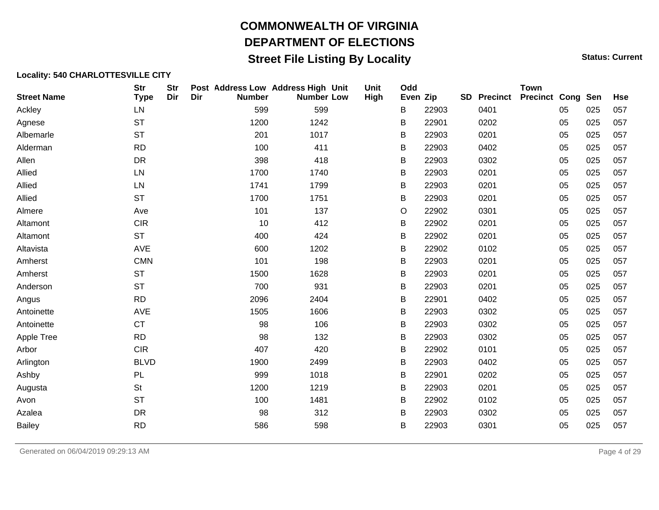### **Street File Listing By Locality Status: Current** Status: Current

| <b>Street Name</b> | <b>Str</b><br><b>Type</b> | <b>Str</b><br>Dir | Dir | Post Address Low Address High Unit<br><b>Number</b> | <b>Number Low</b> | Unit<br>High | Odd<br>Even Zip |       | <b>SD</b> Precinct | <b>Town</b><br><b>Precinct Cong Sen</b> |    |     | <b>Hse</b> |
|--------------------|---------------------------|-------------------|-----|-----------------------------------------------------|-------------------|--------------|-----------------|-------|--------------------|-----------------------------------------|----|-----|------------|
| Ackley             | LN                        |                   |     | 599                                                 | 599               |              | B               | 22903 | 0401               |                                         | 05 | 025 | 057        |
| Agnese             | <b>ST</b>                 |                   |     | 1200                                                | 1242              |              | В               | 22901 | 0202               |                                         | 05 | 025 | 057        |
| Albemarle          | <b>ST</b>                 |                   |     | 201                                                 | 1017              |              | В               | 22903 | 0201               |                                         | 05 | 025 | 057        |
| Alderman           | <b>RD</b>                 |                   |     | 100                                                 | 411               |              | B               | 22903 | 0402               |                                         | 05 | 025 | 057        |
| Allen              | <b>DR</b>                 |                   |     | 398                                                 | 418               |              | B               | 22903 | 0302               |                                         | 05 | 025 | 057        |
| Allied             | LN                        |                   |     | 1700                                                | 1740              |              | В               | 22903 | 0201               |                                         | 05 | 025 | 057        |
| Allied             | LN                        |                   |     | 1741                                                | 1799              |              | В               | 22903 | 0201               |                                         | 05 | 025 | 057        |
| Allied             | <b>ST</b>                 |                   |     | 1700                                                | 1751              |              | B               | 22903 | 0201               |                                         | 05 | 025 | 057        |
| Almere             | Ave                       |                   |     | 101                                                 | 137               |              | O               | 22902 | 0301               |                                         | 05 | 025 | 057        |
| Altamont           | <b>CIR</b>                |                   |     | 10                                                  | 412               |              | В               | 22902 | 0201               |                                         | 05 | 025 | 057        |
| Altamont           | <b>ST</b>                 |                   |     | 400                                                 | 424               |              | В               | 22902 | 0201               |                                         | 05 | 025 | 057        |
| Altavista          | AVE                       |                   |     | 600                                                 | 1202              |              | В               | 22902 | 0102               |                                         | 05 | 025 | 057        |
| Amherst            | <b>CMN</b>                |                   |     | 101                                                 | 198               |              | В               | 22903 | 0201               |                                         | 05 | 025 | 057        |
| Amherst            | <b>ST</b>                 |                   |     | 1500                                                | 1628              |              | B               | 22903 | 0201               |                                         | 05 | 025 | 057        |
| Anderson           | <b>ST</b>                 |                   |     | 700                                                 | 931               |              | В               | 22903 | 0201               |                                         | 05 | 025 | 057        |
| Angus              | <b>RD</b>                 |                   |     | 2096                                                | 2404              |              | В               | 22901 | 0402               |                                         | 05 | 025 | 057        |
| Antoinette         | AVE                       |                   |     | 1505                                                | 1606              |              | В               | 22903 | 0302               |                                         | 05 | 025 | 057        |
| Antoinette         | <b>CT</b>                 |                   |     | 98                                                  | 106               |              | В               | 22903 | 0302               |                                         | 05 | 025 | 057        |
| Apple Tree         | <b>RD</b>                 |                   |     | 98                                                  | 132               |              | B               | 22903 | 0302               |                                         | 05 | 025 | 057        |
| Arbor              | <b>CIR</b>                |                   |     | 407                                                 | 420               |              | В               | 22902 | 0101               |                                         | 05 | 025 | 057        |
| Arlington          | <b>BLVD</b>               |                   |     | 1900                                                | 2499              |              | В               | 22903 | 0402               |                                         | 05 | 025 | 057        |
| Ashby              | PL                        |                   |     | 999                                                 | 1018              |              | В               | 22901 | 0202               |                                         | 05 | 025 | 057        |
| Augusta            | <b>St</b>                 |                   |     | 1200                                                | 1219              |              | В               | 22903 | 0201               |                                         | 05 | 025 | 057        |
| Avon               | <b>ST</b>                 |                   |     | 100                                                 | 1481              |              | В               | 22902 | 0102               |                                         | 05 | 025 | 057        |
| Azalea             | <b>DR</b>                 |                   |     | 98                                                  | 312               |              | B               | 22903 | 0302               |                                         | 05 | 025 | 057        |
| <b>Bailey</b>      | <b>RD</b>                 |                   |     | 586                                                 | 598               |              | В               | 22903 | 0301               |                                         | 05 | 025 | 057        |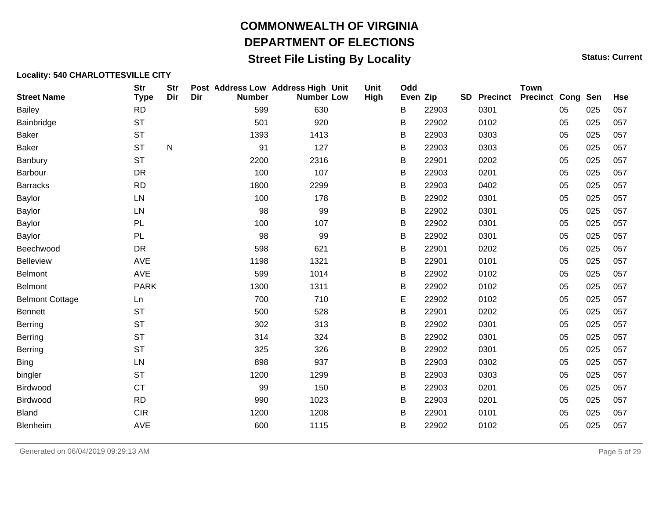### **Street File Listing By Locality Status: Current** Status: Current

| <b>Street Name</b>     | <b>Str</b><br><b>Type</b> | <b>Str</b><br>Dir | Dir | Post Address Low Address High Unit<br><b>Number</b> | <b>Number Low</b> | Unit<br>High | Odd<br>Even Zip |       | <b>SD</b> | <b>Precinct</b> | <b>Town</b><br><b>Precinct Cong Sen</b> |    |     | <b>Hse</b> |
|------------------------|---------------------------|-------------------|-----|-----------------------------------------------------|-------------------|--------------|-----------------|-------|-----------|-----------------|-----------------------------------------|----|-----|------------|
| <b>Bailey</b>          | <b>RD</b>                 |                   |     | 599                                                 | 630               |              | В               | 22903 |           | 0301            |                                         | 05 | 025 | 057        |
| Bainbridge             | <b>ST</b>                 |                   |     | 501                                                 | 920               |              | В               | 22902 |           | 0102            |                                         | 05 | 025 | 057        |
| <b>Baker</b>           | <b>ST</b>                 |                   |     | 1393                                                | 1413              |              | B               | 22903 |           | 0303            |                                         | 05 | 025 | 057        |
| <b>Baker</b>           | <b>ST</b>                 | $\mathsf{N}$      |     | 91                                                  | 127               |              | B               | 22903 |           | 0303            |                                         | 05 | 025 | 057        |
| Banbury                | <b>ST</b>                 |                   |     | 2200                                                | 2316              |              | B               | 22901 |           | 0202            |                                         | 05 | 025 | 057        |
| Barbour                | <b>DR</b>                 |                   |     | 100                                                 | 107               |              | B               | 22903 |           | 0201            |                                         | 05 | 025 | 057        |
| <b>Barracks</b>        | <b>RD</b>                 |                   |     | 1800                                                | 2299              |              | B               | 22903 |           | 0402            |                                         | 05 | 025 | 057        |
| <b>Baylor</b>          | LN                        |                   |     | 100                                                 | 178               |              | B               | 22902 |           | 0301            |                                         | 05 | 025 | 057        |
| Baylor                 | LN                        |                   |     | 98                                                  | 99                |              | B               | 22902 |           | 0301            |                                         | 05 | 025 | 057        |
| Baylor                 | PL                        |                   |     | 100                                                 | 107               |              | B               | 22902 |           | 0301            |                                         | 05 | 025 | 057        |
| <b>Baylor</b>          | PL                        |                   |     | 98                                                  | 99                |              | B               | 22902 |           | 0301            |                                         | 05 | 025 | 057        |
| Beechwood              | <b>DR</b>                 |                   |     | 598                                                 | 621               |              | B               | 22901 |           | 0202            |                                         | 05 | 025 | 057        |
| <b>Belleview</b>       | AVE                       |                   |     | 1198                                                | 1321              |              | B               | 22901 |           | 0101            |                                         | 05 | 025 | 057        |
| <b>Belmont</b>         | AVE                       |                   |     | 599                                                 | 1014              |              | B               | 22902 |           | 0102            |                                         | 05 | 025 | 057        |
| Belmont                | <b>PARK</b>               |                   |     | 1300                                                | 1311              |              | B               | 22902 |           | 0102            |                                         | 05 | 025 | 057        |
| <b>Belmont Cottage</b> | Ln                        |                   |     | 700                                                 | 710               |              | E               | 22902 |           | 0102            |                                         | 05 | 025 | 057        |
| Bennett                | <b>ST</b>                 |                   |     | 500                                                 | 528               |              | B               | 22901 |           | 0202            |                                         | 05 | 025 | 057        |
| Berring                | <b>ST</b>                 |                   |     | 302                                                 | 313               |              | B               | 22902 |           | 0301            |                                         | 05 | 025 | 057        |
| Berring                | <b>ST</b>                 |                   |     | 314                                                 | 324               |              | В               | 22902 |           | 0301            |                                         | 05 | 025 | 057        |
| Berring                | <b>ST</b>                 |                   |     | 325                                                 | 326               |              | B               | 22902 |           | 0301            |                                         | 05 | 025 | 057        |
| <b>Bing</b>            | LN                        |                   |     | 898                                                 | 937               |              | B               | 22903 |           | 0302            |                                         | 05 | 025 | 057        |
| bingler                | <b>ST</b>                 |                   |     | 1200                                                | 1299              |              | В               | 22903 |           | 0303            |                                         | 05 | 025 | 057        |
| Birdwood               | <b>CT</b>                 |                   |     | 99                                                  | 150               |              | B               | 22903 |           | 0201            |                                         | 05 | 025 | 057        |
| Birdwood               | <b>RD</b>                 |                   |     | 990                                                 | 1023              |              | B               | 22903 |           | 0201            |                                         | 05 | 025 | 057        |
| <b>Bland</b>           | <b>CIR</b>                |                   |     | 1200                                                | 1208              |              | В               | 22901 |           | 0101            |                                         | 05 | 025 | 057        |
| Blenheim               | AVE                       |                   |     | 600                                                 | 1115              |              | В               | 22902 |           | 0102            |                                         | 05 | 025 | 057        |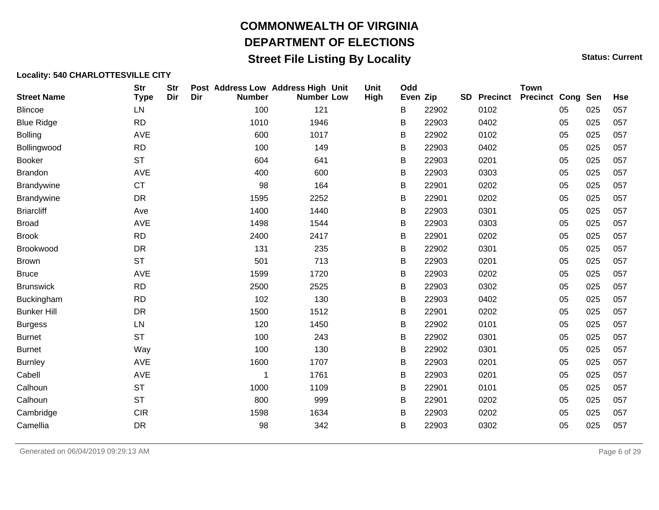### **Street File Listing By Locality Status: Current** Status: Current

| <b>Street Name</b> | <b>Str</b><br><b>Type</b> | <b>Str</b><br>Dir | Dir | Post Address Low Address High Unit<br><b>Number</b> | <b>Number Low</b> | Unit<br><b>High</b> | Odd<br>Even Zip |       | <b>SD</b> | <b>Precinct</b> | <b>Town</b><br><b>Precinct Cong Sen</b> |    |     | <b>Hse</b> |
|--------------------|---------------------------|-------------------|-----|-----------------------------------------------------|-------------------|---------------------|-----------------|-------|-----------|-----------------|-----------------------------------------|----|-----|------------|
| <b>Blincoe</b>     | LN                        |                   |     | 100                                                 | 121               |                     | В               | 22902 |           | 0102            |                                         | 05 | 025 | 057        |
| <b>Blue Ridge</b>  | <b>RD</b>                 |                   |     | 1010                                                | 1946              |                     | B               | 22903 |           | 0402            |                                         | 05 | 025 | 057        |
| <b>Bolling</b>     | AVE                       |                   |     | 600                                                 | 1017              |                     | В               | 22902 |           | 0102            |                                         | 05 | 025 | 057        |
| Bollingwood        | <b>RD</b>                 |                   |     | 100                                                 | 149               |                     | B               | 22903 |           | 0402            |                                         | 05 | 025 | 057        |
| <b>Booker</b>      | <b>ST</b>                 |                   |     | 604                                                 | 641               |                     | В               | 22903 |           | 0201            |                                         | 05 | 025 | 057        |
| <b>Brandon</b>     | AVE                       |                   |     | 400                                                 | 600               |                     | B               | 22903 |           | 0303            |                                         | 05 | 025 | 057        |
| <b>Brandywine</b>  | <b>CT</b>                 |                   |     | 98                                                  | 164               |                     | B               | 22901 |           | 0202            |                                         | 05 | 025 | 057        |
| <b>Brandywine</b>  | <b>DR</b>                 |                   |     | 1595                                                | 2252              |                     | В               | 22901 |           | 0202            |                                         | 05 | 025 | 057        |
| <b>Briarcliff</b>  | Ave                       |                   |     | 1400                                                | 1440              |                     | B               | 22903 |           | 0301            |                                         | 05 | 025 | 057        |
| <b>Broad</b>       | AVE                       |                   |     | 1498                                                | 1544              |                     | Β               | 22903 |           | 0303            |                                         | 05 | 025 | 057        |
| <b>Brook</b>       | <b>RD</b>                 |                   |     | 2400                                                | 2417              |                     | В               | 22901 |           | 0202            |                                         | 05 | 025 | 057        |
| Brookwood          | <b>DR</b>                 |                   |     | 131                                                 | 235               |                     | В               | 22902 |           | 0301            |                                         | 05 | 025 | 057        |
| <b>Brown</b>       | <b>ST</b>                 |                   |     | 501                                                 | 713               |                     | Β               | 22903 |           | 0201            |                                         | 05 | 025 | 057        |
| <b>Bruce</b>       | AVE                       |                   |     | 1599                                                | 1720              |                     | В               | 22903 |           | 0202            |                                         | 05 | 025 | 057        |
| <b>Brunswick</b>   | <b>RD</b>                 |                   |     | 2500                                                | 2525              |                     | В               | 22903 |           | 0302            |                                         | 05 | 025 | 057        |
| <b>Buckingham</b>  | <b>RD</b>                 |                   |     | 102                                                 | 130               |                     | B               | 22903 |           | 0402            |                                         | 05 | 025 | 057        |
| <b>Bunker Hill</b> | DR                        |                   |     | 1500                                                | 1512              |                     | B               | 22901 |           | 0202            |                                         | 05 | 025 | 057        |
| <b>Burgess</b>     | LN                        |                   |     | 120                                                 | 1450              |                     | В               | 22902 |           | 0101            |                                         | 05 | 025 | 057        |
| <b>Burnet</b>      | <b>ST</b>                 |                   |     | 100                                                 | 243               |                     | B               | 22902 |           | 0301            |                                         | 05 | 025 | 057        |
| <b>Burnet</b>      | Way                       |                   |     | 100                                                 | 130               |                     | B               | 22902 |           | 0301            |                                         | 05 | 025 | 057        |
| <b>Burnley</b>     | AVE                       |                   |     | 1600                                                | 1707              |                     | В               | 22903 |           | 0201            |                                         | 05 | 025 | 057        |
| Cabell             | AVE                       |                   |     | 1                                                   | 1761              |                     | B               | 22903 |           | 0201            |                                         | 05 | 025 | 057        |
| Calhoun            | <b>ST</b>                 |                   |     | 1000                                                | 1109              |                     | B               | 22901 |           | 0101            |                                         | 05 | 025 | 057        |
| Calhoun            | <b>ST</b>                 |                   |     | 800                                                 | 999               |                     | B               | 22901 |           | 0202            |                                         | 05 | 025 | 057        |
| Cambridge          | <b>CIR</b>                |                   |     | 1598                                                | 1634              |                     | B               | 22903 |           | 0202            |                                         | 05 | 025 | 057        |
| Camellia           | DR                        |                   |     | 98                                                  | 342               |                     | В               | 22903 |           | 0302            |                                         | 05 | 025 | 057        |
|                    |                           |                   |     |                                                     |                   |                     |                 |       |           |                 |                                         |    |     |            |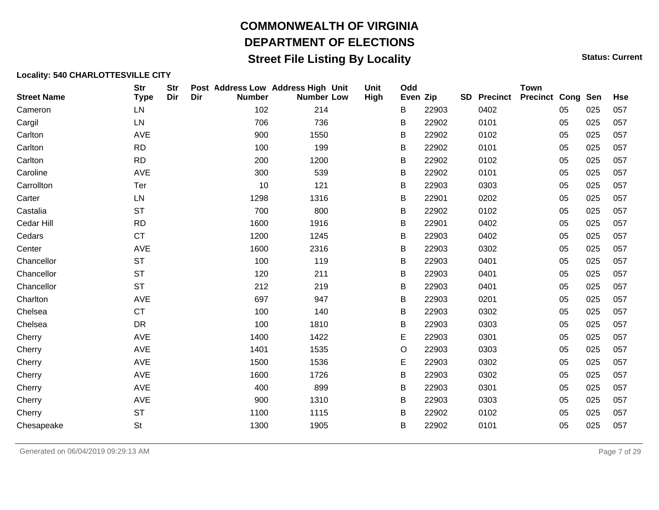### **Street File Listing By Locality Status: Current** Status: Current

| <b>Street Name</b> | <b>Str</b><br><b>Type</b> | <b>Str</b><br>Dir | Dir | <b>Number</b> | Post Address Low Address High Unit<br><b>Number Low</b> | Unit<br>High | Odd<br>Even Zip |       | <b>SD</b> | <b>Precinct</b> | <b>Town</b><br><b>Precinct Cong Sen</b> |    |     | <b>Hse</b> |
|--------------------|---------------------------|-------------------|-----|---------------|---------------------------------------------------------|--------------|-----------------|-------|-----------|-----------------|-----------------------------------------|----|-----|------------|
| Cameron            | LN                        |                   |     | 102           | 214                                                     |              | B               | 22903 |           | 0402            |                                         | 05 | 025 | 057        |
| Cargil             | LN                        |                   |     | 706           | 736                                                     |              | B               | 22902 |           | 0101            |                                         | 05 | 025 | 057        |
| Carlton            | AVE                       |                   |     | 900           | 1550                                                    |              | B               | 22902 |           | 0102            |                                         | 05 | 025 | 057        |
| Carlton            | <b>RD</b>                 |                   |     | 100           | 199                                                     |              | B               | 22902 |           | 0101            |                                         | 05 | 025 | 057        |
| Carlton            | <b>RD</b>                 |                   |     | 200           | 1200                                                    |              | B               | 22902 |           | 0102            |                                         | 05 | 025 | 057        |
| Caroline           | AVE                       |                   |     | 300           | 539                                                     |              | B               | 22902 |           | 0101            |                                         | 05 | 025 | 057        |
| Carrollton         | Ter                       |                   |     | 10            | 121                                                     |              | B               | 22903 |           | 0303            |                                         | 05 | 025 | 057        |
| Carter             | LN                        |                   |     | 1298          | 1316                                                    |              | B               | 22901 |           | 0202            |                                         | 05 | 025 | 057        |
| Castalia           | <b>ST</b>                 |                   |     | 700           | 800                                                     |              | B               | 22902 |           | 0102            |                                         | 05 | 025 | 057        |
| Cedar Hill         | <b>RD</b>                 |                   |     | 1600          | 1916                                                    |              | B               | 22901 |           | 0402            |                                         | 05 | 025 | 057        |
| Cedars             | <b>CT</b>                 |                   |     | 1200          | 1245                                                    |              | B               | 22903 |           | 0402            |                                         | 05 | 025 | 057        |
| Center             | AVE                       |                   |     | 1600          | 2316                                                    |              | B               | 22903 |           | 0302            |                                         | 05 | 025 | 057        |
| Chancellor         | <b>ST</b>                 |                   |     | 100           | 119                                                     |              | B               | 22903 |           | 0401            |                                         | 05 | 025 | 057        |
| Chancellor         | <b>ST</b>                 |                   |     | 120           | 211                                                     |              | B               | 22903 |           | 0401            |                                         | 05 | 025 | 057        |
| Chancellor         | <b>ST</b>                 |                   |     | 212           | 219                                                     |              | B               | 22903 |           | 0401            |                                         | 05 | 025 | 057        |
| Charlton           | AVE                       |                   |     | 697           | 947                                                     |              | B               | 22903 |           | 0201            |                                         | 05 | 025 | 057        |
| Chelsea            | <b>CT</b>                 |                   |     | 100           | 140                                                     |              | B               | 22903 |           | 0302            |                                         | 05 | 025 | 057        |
| Chelsea            | DR                        |                   |     | 100           | 1810                                                    |              | B               | 22903 |           | 0303            |                                         | 05 | 025 | 057        |
| Cherry             | AVE                       |                   |     | 1400          | 1422                                                    |              | Е               | 22903 |           | 0301            |                                         | 05 | 025 | 057        |
| Cherry             | AVE                       |                   |     | 1401          | 1535                                                    |              | $\circ$         | 22903 |           | 0303            |                                         | 05 | 025 | 057        |
| Cherry             | AVE                       |                   |     | 1500          | 1536                                                    |              | Е               | 22903 |           | 0302            |                                         | 05 | 025 | 057        |
| Cherry             | AVE                       |                   |     | 1600          | 1726                                                    |              | В               | 22903 |           | 0302            |                                         | 05 | 025 | 057        |
| Cherry             | AVE                       |                   |     | 400           | 899                                                     |              | B               | 22903 |           | 0301            |                                         | 05 | 025 | 057        |
| Cherry             | AVE                       |                   |     | 900           | 1310                                                    |              | B               | 22903 |           | 0303            |                                         | 05 | 025 | 057        |
| Cherry             | <b>ST</b>                 |                   |     | 1100          | 1115                                                    |              | B               | 22902 |           | 0102            |                                         | 05 | 025 | 057        |
| Chesapeake         | <b>St</b>                 |                   |     | 1300          | 1905                                                    |              | В               | 22902 |           | 0101            |                                         | 05 | 025 | 057        |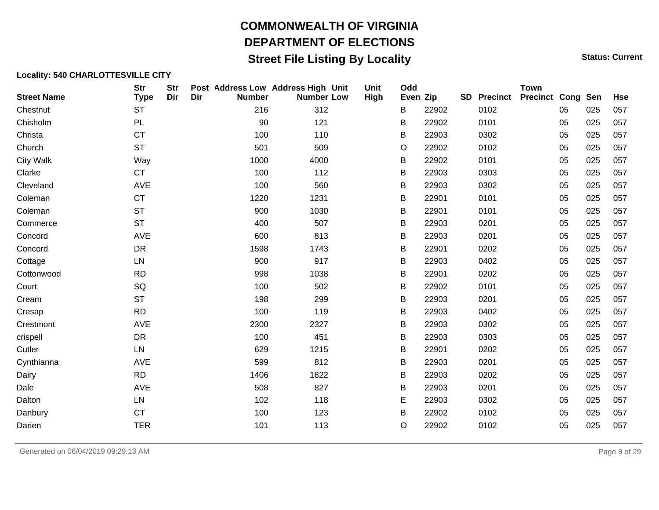### **Street File Listing By Locality Status: Current** Status: Current

| <b>Street Name</b> | <b>Str</b><br><b>Type</b> | <b>Str</b><br>Dir | Dir | Post Address Low Address High Unit<br><b>Number</b> | <b>Number Low</b> | Unit<br>High | Odd<br>Even Zip |       | <b>SD</b> | <b>Precinct</b> | <b>Town</b><br><b>Precinct Cong Sen</b> |    |     | <b>Hse</b> |
|--------------------|---------------------------|-------------------|-----|-----------------------------------------------------|-------------------|--------------|-----------------|-------|-----------|-----------------|-----------------------------------------|----|-----|------------|
| Chestnut           | <b>ST</b>                 |                   |     | 216                                                 | 312               |              | B               | 22902 |           | 0102            |                                         | 05 | 025 | 057        |
| Chisholm           | <b>PL</b>                 |                   |     | 90                                                  | 121               |              | В               | 22902 |           | 0101            |                                         | 05 | 025 | 057        |
| Christa            | <b>CT</b>                 |                   |     | 100                                                 | 110               |              | В               | 22903 |           | 0302            |                                         | 05 | 025 | 057        |
| Church             | <b>ST</b>                 |                   |     | 501                                                 | 509               |              | O               | 22902 |           | 0102            |                                         | 05 | 025 | 057        |
| <b>City Walk</b>   | Way                       |                   |     | 1000                                                | 4000              |              | B               | 22902 |           | 0101            |                                         | 05 | 025 | 057        |
| Clarke             | <b>CT</b>                 |                   |     | 100                                                 | 112               |              | В               | 22903 |           | 0303            |                                         | 05 | 025 | 057        |
| Cleveland          | AVE                       |                   |     | 100                                                 | 560               |              | В               | 22903 |           | 0302            |                                         | 05 | 025 | 057        |
| Coleman            | <b>CT</b>                 |                   |     | 1220                                                | 1231              |              | В               | 22901 |           | 0101            |                                         | 05 | 025 | 057        |
| Coleman            | <b>ST</b>                 |                   |     | 900                                                 | 1030              |              | В               | 22901 |           | 0101            |                                         | 05 | 025 | 057        |
| Commerce           | <b>ST</b>                 |                   |     | 400                                                 | 507               |              | В               | 22903 |           | 0201            |                                         | 05 | 025 | 057        |
| Concord            | AVE                       |                   |     | 600                                                 | 813               |              | B               | 22903 |           | 0201            |                                         | 05 | 025 | 057        |
| Concord            | DR                        |                   |     | 1598                                                | 1743              |              | B               | 22901 |           | 0202            |                                         | 05 | 025 | 057        |
| Cottage            | LN                        |                   |     | 900                                                 | 917               |              | B               | 22903 |           | 0402            |                                         | 05 | 025 | 057        |
| Cottonwood         | <b>RD</b>                 |                   |     | 998                                                 | 1038              |              | B               | 22901 |           | 0202            |                                         | 05 | 025 | 057        |
| Court              | SQ                        |                   |     | 100                                                 | 502               |              | В               | 22902 |           | 0101            |                                         | 05 | 025 | 057        |
| Cream              | <b>ST</b>                 |                   |     | 198                                                 | 299               |              | В               | 22903 |           | 0201            |                                         | 05 | 025 | 057        |
| Cresap             | <b>RD</b>                 |                   |     | 100                                                 | 119               |              | B               | 22903 |           | 0402            |                                         | 05 | 025 | 057        |
| Crestmont          | AVE                       |                   |     | 2300                                                | 2327              |              | В               | 22903 |           | 0302            |                                         | 05 | 025 | 057        |
| crispell           | <b>DR</b>                 |                   |     | 100                                                 | 451               |              | B               | 22903 |           | 0303            |                                         | 05 | 025 | 057        |
| Cutler             | LN                        |                   |     | 629                                                 | 1215              |              | B               | 22901 |           | 0202            |                                         | 05 | 025 | 057        |
| Cynthianna         | AVE                       |                   |     | 599                                                 | 812               |              | В               | 22903 |           | 0201            |                                         | 05 | 025 | 057        |
| Dairy              | <b>RD</b>                 |                   |     | 1406                                                | 1822              |              | B               | 22903 |           | 0202            |                                         | 05 | 025 | 057        |
| Dale               | AVE                       |                   |     | 508                                                 | 827               |              | В               | 22903 |           | 0201            |                                         | 05 | 025 | 057        |
| Dalton             | LN                        |                   |     | 102                                                 | 118               |              | E               | 22903 |           | 0302            |                                         | 05 | 025 | 057        |
| Danbury            | <b>CT</b>                 |                   |     | 100                                                 | 123               |              | В               | 22902 |           | 0102            |                                         | 05 | 025 | 057        |
| Darien             | <b>TER</b>                |                   |     | 101                                                 | 113               |              | O               | 22902 |           | 0102            |                                         | 05 | 025 | 057        |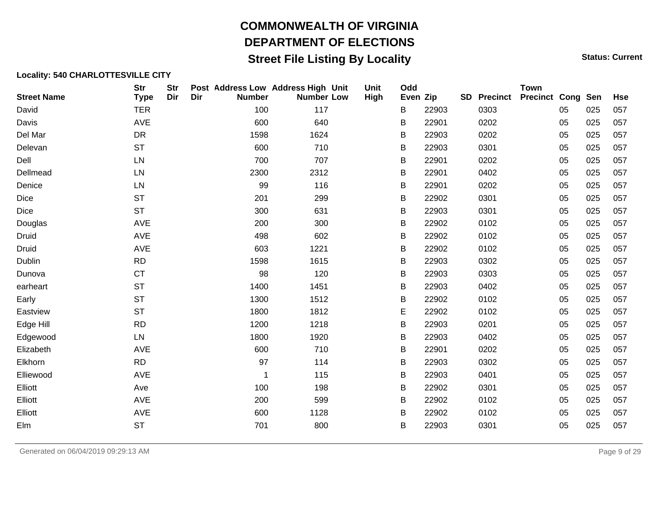### **Street File Listing By Locality Status: Current** Status: Current

| <b>Street Name</b> | <b>Str</b><br><b>Type</b> | <b>Str</b><br>Dir | Dir | Post Address Low Address High Unit<br><b>Number</b> | <b>Number Low</b> | Unit<br>High | Odd<br>Even Zip |       | SD | <b>Precinct</b> | <b>Town</b><br><b>Precinct Cong Sen</b> |    |     | <b>Hse</b> |
|--------------------|---------------------------|-------------------|-----|-----------------------------------------------------|-------------------|--------------|-----------------|-------|----|-----------------|-----------------------------------------|----|-----|------------|
| David              | <b>TER</b>                |                   |     | 100                                                 | 117               |              | B               | 22903 |    | 0303            |                                         | 05 | 025 | 057        |
| Davis              | AVE                       |                   |     | 600                                                 | 640               |              | B               | 22901 |    | 0202            |                                         | 05 | 025 | 057        |
| Del Mar            | DR                        |                   |     | 1598                                                | 1624              |              | B               | 22903 |    | 0202            |                                         | 05 | 025 | 057        |
| Delevan            | <b>ST</b>                 |                   |     | 600                                                 | 710               |              | B               | 22903 |    | 0301            |                                         | 05 | 025 | 057        |
| Dell               | LN                        |                   |     | 700                                                 | 707               |              | B               | 22901 |    | 0202            |                                         | 05 | 025 | 057        |
| Dellmead           | LN                        |                   |     | 2300                                                | 2312              |              | B               | 22901 |    | 0402            |                                         | 05 | 025 | 057        |
| Denice             | LN                        |                   |     | 99                                                  | 116               |              | B               | 22901 |    | 0202            |                                         | 05 | 025 | 057        |
| Dice               | <b>ST</b>                 |                   |     | 201                                                 | 299               |              | B               | 22902 |    | 0301            |                                         | 05 | 025 | 057        |
| Dice               | <b>ST</b>                 |                   |     | 300                                                 | 631               |              | B               | 22903 |    | 0301            |                                         | 05 | 025 | 057        |
| Douglas            | AVE                       |                   |     | 200                                                 | 300               |              | B               | 22902 |    | 0102            |                                         | 05 | 025 | 057        |
| Druid              | AVE                       |                   |     | 498                                                 | 602               |              | B               | 22902 |    | 0102            |                                         | 05 | 025 | 057        |
| Druid              | AVE                       |                   |     | 603                                                 | 1221              |              | B               | 22902 |    | 0102            |                                         | 05 | 025 | 057        |
| <b>Dublin</b>      | RD                        |                   |     | 1598                                                | 1615              |              | Β               | 22903 |    | 0302            |                                         | 05 | 025 | 057        |
| Dunova             | <b>CT</b>                 |                   |     | 98                                                  | 120               |              | B               | 22903 |    | 0303            |                                         | 05 | 025 | 057        |
| earheart           | <b>ST</b>                 |                   |     | 1400                                                | 1451              |              | B               | 22903 |    | 0402            |                                         | 05 | 025 | 057        |
| Early              | <b>ST</b>                 |                   |     | 1300                                                | 1512              |              | B               | 22902 |    | 0102            |                                         | 05 | 025 | 057        |
| Eastview           | <b>ST</b>                 |                   |     | 1800                                                | 1812              |              | E               | 22902 |    | 0102            |                                         | 05 | 025 | 057        |
| Edge Hill          | <b>RD</b>                 |                   |     | 1200                                                | 1218              |              | B               | 22903 |    | 0201            |                                         | 05 | 025 | 057        |
| Edgewood           | LN                        |                   |     | 1800                                                | 1920              |              | B               | 22903 |    | 0402            |                                         | 05 | 025 | 057        |
| Elizabeth          | AVE                       |                   |     | 600                                                 | 710               |              | B               | 22901 |    | 0202            |                                         | 05 | 025 | 057        |
| Elkhorn            | <b>RD</b>                 |                   |     | 97                                                  | 114               |              | B               | 22903 |    | 0302            |                                         | 05 | 025 | 057        |
| Elliewood          | AVE                       |                   |     | 1                                                   | 115               |              | В               | 22903 |    | 0401            |                                         | 05 | 025 | 057        |
| Elliott            | Ave                       |                   |     | 100                                                 | 198               |              | B               | 22902 |    | 0301            |                                         | 05 | 025 | 057        |
| Elliott            | AVE                       |                   |     | 200                                                 | 599               |              | B               | 22902 |    | 0102            |                                         | 05 | 025 | 057        |
| Elliott            | AVE                       |                   |     | 600                                                 | 1128              |              | B               | 22902 |    | 0102            |                                         | 05 | 025 | 057        |
| Elm                | <b>ST</b>                 |                   |     | 701                                                 | 800               |              | В               | 22903 |    | 0301            |                                         | 05 | 025 | 057        |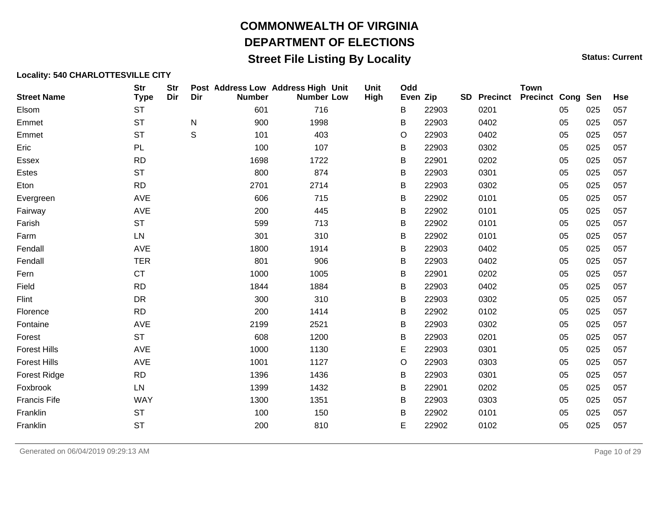## **Street File Listing By Locality Status: Current** Status: Current

#### **Locality: 540 CHARLOTTESVILLE CITY**

| <b>Street Name</b>  | <b>Str</b><br><b>Type</b> | <b>Str</b><br>Dir | Dir | Post Address Low Address High Unit<br><b>Number</b> | <b>Number Low</b> | Unit<br>High | Odd<br>Even Zip |       | <b>SD</b> | <b>Precinct</b> | <b>Town</b><br><b>Precinct Cong Sen</b> |    |     | <b>Hse</b> |
|---------------------|---------------------------|-------------------|-----|-----------------------------------------------------|-------------------|--------------|-----------------|-------|-----------|-----------------|-----------------------------------------|----|-----|------------|
| Elsom               | <b>ST</b>                 |                   |     | 601                                                 | 716               |              | B               | 22903 |           | 0201            |                                         | 05 | 025 | 057        |
| Emmet               | <b>ST</b>                 |                   | N   | 900                                                 | 1998              |              | B               | 22903 |           | 0402            |                                         | 05 | 025 | 057        |
| Emmet               | <b>ST</b>                 |                   | S   | 101                                                 | 403               |              | O               | 22903 |           | 0402            |                                         | 05 | 025 | 057        |
| Eric                | <b>PL</b>                 |                   |     | 100                                                 | 107               |              | В               | 22903 |           | 0302            |                                         | 05 | 025 | 057        |
| Essex               | <b>RD</b>                 |                   |     | 1698                                                | 1722              |              | B               | 22901 |           | 0202            |                                         | 05 | 025 | 057        |
| Estes               | <b>ST</b>                 |                   |     | 800                                                 | 874               |              | В               | 22903 |           | 0301            |                                         | 05 | 025 | 057        |
| Eton                | <b>RD</b>                 |                   |     | 2701                                                | 2714              |              | B               | 22903 |           | 0302            |                                         | 05 | 025 | 057        |
| Evergreen           | <b>AVE</b>                |                   |     | 606                                                 | 715               |              | B               | 22902 |           | 0101            |                                         | 05 | 025 | 057        |
| Fairway             | AVE                       |                   |     | 200                                                 | 445               |              | В               | 22902 |           | 0101            |                                         | 05 | 025 | 057        |
| Farish              | <b>ST</b>                 |                   |     | 599                                                 | 713               |              | B               | 22902 |           | 0101            |                                         | 05 | 025 | 057        |
| Farm                | ${\sf LN}$                |                   |     | 301                                                 | 310               |              | B               | 22902 |           | 0101            |                                         | 05 | 025 | 057        |
| Fendall             | <b>AVE</b>                |                   |     | 1800                                                | 1914              |              | В               | 22903 |           | 0402            |                                         | 05 | 025 | 057        |
| Fendall             | <b>TER</b>                |                   |     | 801                                                 | 906               |              | B               | 22903 |           | 0402            |                                         | 05 | 025 | 057        |
| Fern                | <b>CT</b>                 |                   |     | 1000                                                | 1005              |              | В               | 22901 |           | 0202            |                                         | 05 | 025 | 057        |
| Field               | <b>RD</b>                 |                   |     | 1844                                                | 1884              |              | B               | 22903 |           | 0402            |                                         | 05 | 025 | 057        |
| Flint               | DR                        |                   |     | 300                                                 | 310               |              | B               | 22903 |           | 0302            |                                         | 05 | 025 | 057        |
| Florence            | <b>RD</b>                 |                   |     | 200                                                 | 1414              |              | В               | 22902 |           | 0102            |                                         | 05 | 025 | 057        |
| Fontaine            | <b>AVE</b>                |                   |     | 2199                                                | 2521              |              | B               | 22903 |           | 0302            |                                         | 05 | 025 | 057        |
| Forest              | <b>ST</b>                 |                   |     | 608                                                 | 1200              |              | B               | 22903 |           | 0201            |                                         | 05 | 025 | 057        |
| <b>Forest Hills</b> | <b>AVE</b>                |                   |     | 1000                                                | 1130              |              | E               | 22903 |           | 0301            |                                         | 05 | 025 | 057        |
| <b>Forest Hills</b> | <b>AVE</b>                |                   |     | 1001                                                | 1127              |              | O               | 22903 |           | 0303            |                                         | 05 | 025 | 057        |
| <b>Forest Ridge</b> | <b>RD</b>                 |                   |     | 1396                                                | 1436              |              | В               | 22903 |           | 0301            |                                         | 05 | 025 | 057        |
| Foxbrook            | ${\sf LN}$                |                   |     | 1399                                                | 1432              |              | B               | 22901 |           | 0202            |                                         | 05 | 025 | 057        |
| <b>Francis Fife</b> | <b>WAY</b>                |                   |     | 1300                                                | 1351              |              | В               | 22903 |           | 0303            |                                         | 05 | 025 | 057        |
| Franklin            | <b>ST</b>                 |                   |     | 100                                                 | 150               |              | В               | 22902 |           | 0101            |                                         | 05 | 025 | 057        |
| Franklin            | <b>ST</b>                 |                   |     | 200                                                 | 810               |              | E               | 22902 |           | 0102            |                                         | 05 | 025 | 057        |

Generated on 06/04/2019 09:29:13 AM Page 10 of 29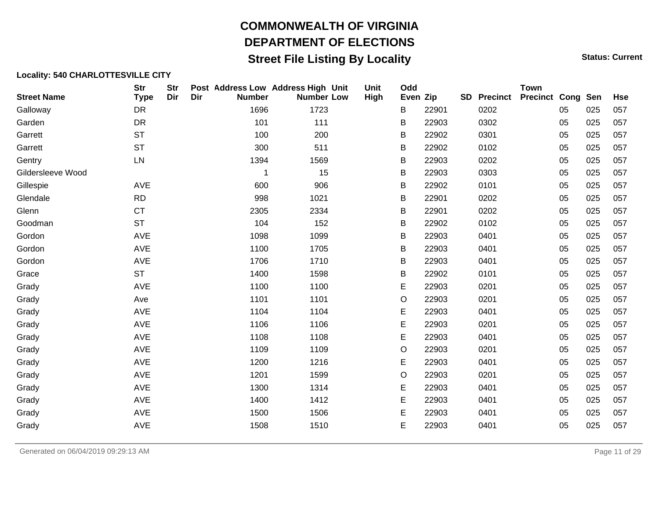## **Street File Listing By Locality Status: Current** Status: Current

| <b>Street Name</b> | <b>Str</b><br><b>Type</b> | <b>Str</b><br>Dir | Dir | Post Address Low Address High Unit<br><b>Number</b> | <b>Number Low</b> | Unit<br>High | Odd<br>Even Zip |       | <b>SD</b> | <b>Precinct</b> | <b>Town</b><br><b>Precinct Cong Sen</b> |    |     | <b>Hse</b> |
|--------------------|---------------------------|-------------------|-----|-----------------------------------------------------|-------------------|--------------|-----------------|-------|-----------|-----------------|-----------------------------------------|----|-----|------------|
| Galloway           | <b>DR</b>                 |                   |     | 1696                                                | 1723              |              | B               | 22901 |           | 0202            |                                         | 05 | 025 | 057        |
| Garden             | DR                        |                   |     | 101                                                 | 111               |              | В               | 22903 |           | 0302            |                                         | 05 | 025 | 057        |
| Garrett            | <b>ST</b>                 |                   |     | 100                                                 | 200               |              | В               | 22902 |           | 0301            |                                         | 05 | 025 | 057        |
| Garrett            | <b>ST</b>                 |                   |     | 300                                                 | 511               |              | В               | 22902 |           | 0102            |                                         | 05 | 025 | 057        |
| Gentry             | LN                        |                   |     | 1394                                                | 1569              |              | B               | 22903 |           | 0202            |                                         | 05 | 025 | 057        |
| Gildersleeve Wood  |                           |                   |     | 1                                                   | 15                |              | В               | 22903 |           | 0303            |                                         | 05 | 025 | 057        |
| Gillespie          | AVE                       |                   |     | 600                                                 | 906               |              | В               | 22902 |           | 0101            |                                         | 05 | 025 | 057        |
| Glendale           | <b>RD</b>                 |                   |     | 998                                                 | 1021              |              | В               | 22901 |           | 0202            |                                         | 05 | 025 | 057        |
| Glenn              | <b>CT</b>                 |                   |     | 2305                                                | 2334              |              | В               | 22901 |           | 0202            |                                         | 05 | 025 | 057        |
| Goodman            | <b>ST</b>                 |                   |     | 104                                                 | 152               |              | В               | 22902 |           | 0102            |                                         | 05 | 025 | 057        |
| Gordon             | AVE                       |                   |     | 1098                                                | 1099              |              | В               | 22903 |           | 0401            |                                         | 05 | 025 | 057        |
| Gordon             | AVE                       |                   |     | 1100                                                | 1705              |              | B               | 22903 |           | 0401            |                                         | 05 | 025 | 057        |
| Gordon             | AVE                       |                   |     | 1706                                                | 1710              |              | В               | 22903 |           | 0401            |                                         | 05 | 025 | 057        |
| Grace              | <b>ST</b>                 |                   |     | 1400                                                | 1598              |              | В               | 22902 |           | 0101            |                                         | 05 | 025 | 057        |
| Grady              | AVE                       |                   |     | 1100                                                | 1100              |              | Е               | 22903 |           | 0201            |                                         | 05 | 025 | 057        |
| Grady              | Ave                       |                   |     | 1101                                                | 1101              |              | O               | 22903 |           | 0201            |                                         | 05 | 025 | 057        |
| Grady              | AVE                       |                   |     | 1104                                                | 1104              |              | E               | 22903 |           | 0401            |                                         | 05 | 025 | 057        |
| Grady              | AVE                       |                   |     | 1106                                                | 1106              |              | E               | 22903 |           | 0201            |                                         | 05 | 025 | 057        |
| Grady              | AVE                       |                   |     | 1108                                                | 1108              |              | E               | 22903 |           | 0401            |                                         | 05 | 025 | 057        |
| Grady              | AVE                       |                   |     | 1109                                                | 1109              |              | O               | 22903 |           | 0201            |                                         | 05 | 025 | 057        |
| Grady              | AVE                       |                   |     | 1200                                                | 1216              |              | Е               | 22903 |           | 0401            |                                         | 05 | 025 | 057        |
| Grady              | AVE                       |                   |     | 1201                                                | 1599              |              | O               | 22903 |           | 0201            |                                         | 05 | 025 | 057        |
| Grady              | AVE                       |                   |     | 1300                                                | 1314              |              | E               | 22903 |           | 0401            |                                         | 05 | 025 | 057        |
| Grady              | AVE                       |                   |     | 1400                                                | 1412              |              | E               | 22903 |           | 0401            |                                         | 05 | 025 | 057        |
| Grady              | AVE                       |                   |     | 1500                                                | 1506              |              | E               | 22903 |           | 0401            |                                         | 05 | 025 | 057        |
| Grady              | AVE                       |                   |     | 1508                                                | 1510              |              | E               | 22903 |           | 0401            |                                         | 05 | 025 | 057        |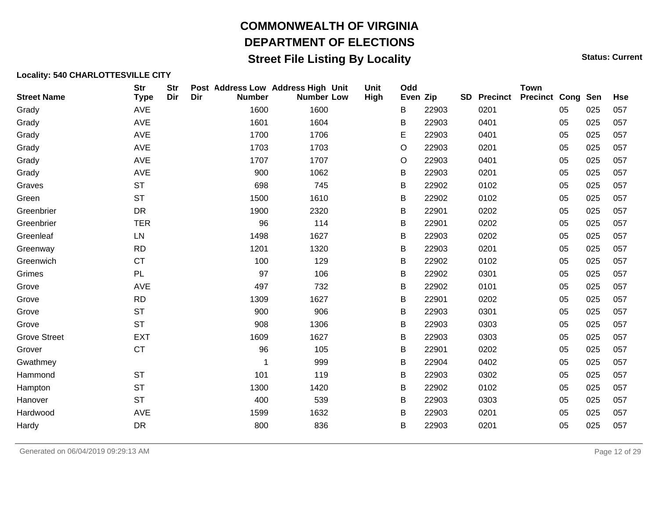## **Street File Listing By Locality Status: Current** Status: Current

| <b>Street Name</b>  | <b>Str</b><br><b>Type</b> | <b>Str</b><br>Dir | Dir | Post Address Low Address High Unit<br><b>Number</b> | <b>Number Low</b> | Unit<br>High | Odd<br>Even Zip |       | <b>SD</b> | <b>Precinct</b> | <b>Town</b><br><b>Precinct Cong Sen</b> |    |     | <b>Hse</b> |
|---------------------|---------------------------|-------------------|-----|-----------------------------------------------------|-------------------|--------------|-----------------|-------|-----------|-----------------|-----------------------------------------|----|-----|------------|
| Grady               | <b>AVE</b>                |                   |     | 1600                                                | 1600              |              | В               | 22903 |           | 0201            |                                         | 05 | 025 | 057        |
| Grady               | <b>AVE</b>                |                   |     | 1601                                                | 1604              |              | В               | 22903 |           | 0401            |                                         | 05 | 025 | 057        |
| Grady               | AVE                       |                   |     | 1700                                                | 1706              |              | E               | 22903 |           | 0401            |                                         | 05 | 025 | 057        |
| Grady               | AVE                       |                   |     | 1703                                                | 1703              |              | O               | 22903 |           | 0201            |                                         | 05 | 025 | 057        |
| Grady               | <b>AVE</b>                |                   |     | 1707                                                | 1707              |              | O               | 22903 |           | 0401            |                                         | 05 | 025 | 057        |
| Grady               | AVE                       |                   |     | 900                                                 | 1062              |              | B               | 22903 |           | 0201            |                                         | 05 | 025 | 057        |
| Graves              | <b>ST</b>                 |                   |     | 698                                                 | 745               |              | B               | 22902 |           | 0102            |                                         | 05 | 025 | 057        |
| Green               | <b>ST</b>                 |                   |     | 1500                                                | 1610              |              | B               | 22902 |           | 0102            |                                         | 05 | 025 | 057        |
| Greenbrier          | DR                        |                   |     | 1900                                                | 2320              |              | В               | 22901 |           | 0202            |                                         | 05 | 025 | 057        |
| Greenbrier          | <b>TER</b>                |                   |     | 96                                                  | 114               |              | B               | 22901 |           | 0202            |                                         | 05 | 025 | 057        |
| Greenleaf           | LN                        |                   |     | 1498                                                | 1627              |              | B               | 22903 |           | 0202            |                                         | 05 | 025 | 057        |
| Greenway            | <b>RD</b>                 |                   |     | 1201                                                | 1320              |              | B               | 22903 |           | 0201            |                                         | 05 | 025 | 057        |
| Greenwich           | <b>CT</b>                 |                   |     | 100                                                 | 129               |              | В               | 22902 |           | 0102            |                                         | 05 | 025 | 057        |
| Grimes              | PL                        |                   |     | 97                                                  | 106               |              | B               | 22902 |           | 0301            |                                         | 05 | 025 | 057        |
| Grove               | AVE                       |                   |     | 497                                                 | 732               |              | B               | 22902 |           | 0101            |                                         | 05 | 025 | 057        |
| Grove               | <b>RD</b>                 |                   |     | 1309                                                | 1627              |              | B               | 22901 |           | 0202            |                                         | 05 | 025 | 057        |
| Grove               | <b>ST</b>                 |                   |     | 900                                                 | 906               |              | B               | 22903 |           | 0301            |                                         | 05 | 025 | 057        |
| Grove               | <b>ST</b>                 |                   |     | 908                                                 | 1306              |              | B               | 22903 |           | 0303            |                                         | 05 | 025 | 057        |
| <b>Grove Street</b> | <b>EXT</b>                |                   |     | 1609                                                | 1627              |              | В               | 22903 |           | 0303            |                                         | 05 | 025 | 057        |
| Grover              | <b>CT</b>                 |                   |     | 96                                                  | 105               |              | B               | 22901 |           | 0202            |                                         | 05 | 025 | 057        |
| Gwathmey            |                           |                   |     | 1                                                   | 999               |              | B               | 22904 |           | 0402            |                                         | 05 | 025 | 057        |
| Hammond             | <b>ST</b>                 |                   |     | 101                                                 | 119               |              | В               | 22903 |           | 0302            |                                         | 05 | 025 | 057        |
| Hampton             | <b>ST</b>                 |                   |     | 1300                                                | 1420              |              | B               | 22902 |           | 0102            |                                         | 05 | 025 | 057        |
| Hanover             | <b>ST</b>                 |                   |     | 400                                                 | 539               |              | B               | 22903 |           | 0303            |                                         | 05 | 025 | 057        |
| Hardwood            | AVE                       |                   |     | 1599                                                | 1632              |              | В               | 22903 |           | 0201            |                                         | 05 | 025 | 057        |
| Hardy               | DR                        |                   |     | 800                                                 | 836               |              | В               | 22903 |           | 0201            |                                         | 05 | 025 | 057        |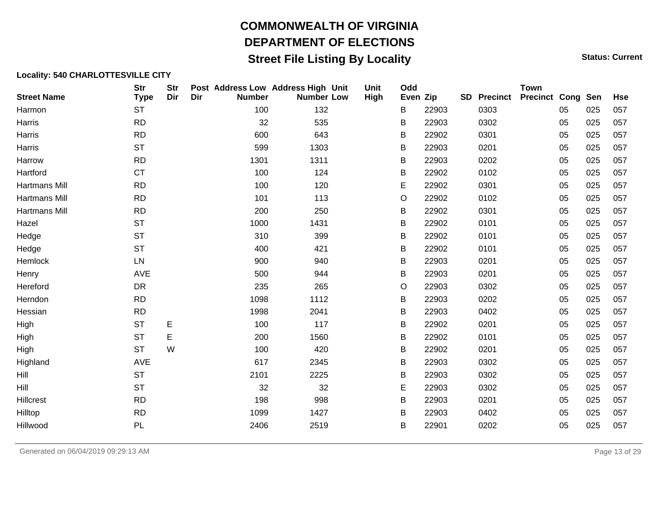## **Street File Listing By Locality Status: Current** Status: Current

| <b>Str</b><br><b>Type</b> | <b>Str</b><br>Dir | Dir | <b>Number</b> |      |     | Unit<br>High                                                                                                                                                                                                                            | Odd |       | <b>SD</b> |      | <b>Town</b>     |    |     | <b>Hse</b>               |
|---------------------------|-------------------|-----|---------------|------|-----|-----------------------------------------------------------------------------------------------------------------------------------------------------------------------------------------------------------------------------------------|-----|-------|-----------|------|-----------------|----|-----|--------------------------|
| <b>ST</b>                 |                   |     | 100           |      |     |                                                                                                                                                                                                                                         | B   | 22903 |           | 0303 |                 | 05 | 025 | 057                      |
| <b>RD</b>                 |                   |     | 32            |      |     |                                                                                                                                                                                                                                         | В   | 22903 |           | 0302 |                 | 05 | 025 | 057                      |
| <b>RD</b>                 |                   |     | 600           |      |     |                                                                                                                                                                                                                                         | B   | 22902 |           | 0301 |                 | 05 | 025 | 057                      |
| <b>ST</b>                 |                   |     | 599           |      |     |                                                                                                                                                                                                                                         | B   | 22903 |           | 0201 |                 | 05 | 025 | 057                      |
| <b>RD</b>                 |                   |     | 1301          |      |     |                                                                                                                                                                                                                                         | В   | 22903 |           | 0202 |                 | 05 | 025 | 057                      |
| <b>CT</b>                 |                   |     | 100           |      |     |                                                                                                                                                                                                                                         | B   | 22902 |           | 0102 |                 | 05 | 025 | 057                      |
| <b>RD</b>                 |                   |     | 100           |      |     |                                                                                                                                                                                                                                         | Е   | 22902 |           | 0301 |                 | 05 | 025 | 057                      |
| <b>RD</b>                 |                   |     | 101           |      |     |                                                                                                                                                                                                                                         | O   | 22902 |           | 0102 |                 | 05 | 025 | 057                      |
| <b>RD</b>                 |                   |     | 200           |      |     |                                                                                                                                                                                                                                         | B   | 22902 |           | 0301 |                 | 05 | 025 | 057                      |
| <b>ST</b>                 |                   |     | 1000          |      |     |                                                                                                                                                                                                                                         | B   | 22902 |           | 0101 |                 | 05 | 025 | 057                      |
| <b>ST</b>                 |                   |     | 310           |      |     |                                                                                                                                                                                                                                         | B   | 22902 |           | 0101 |                 | 05 | 025 | 057                      |
| <b>ST</b>                 |                   |     | 400           |      |     |                                                                                                                                                                                                                                         | B   | 22902 |           | 0101 |                 | 05 | 025 | 057                      |
| LN                        |                   |     | 900           |      |     |                                                                                                                                                                                                                                         | B   | 22903 |           | 0201 |                 | 05 | 025 | 057                      |
| <b>AVE</b>                |                   |     | 500           |      |     |                                                                                                                                                                                                                                         | B   | 22903 |           | 0201 |                 | 05 | 025 | 057                      |
| <b>DR</b>                 |                   |     | 235           |      |     |                                                                                                                                                                                                                                         | O   | 22903 |           | 0302 |                 | 05 | 025 | 057                      |
| <b>RD</b>                 |                   |     | 1098          |      |     |                                                                                                                                                                                                                                         | B   | 22903 |           | 0202 |                 | 05 | 025 | 057                      |
| <b>RD</b>                 |                   |     | 1998          | 2041 |     |                                                                                                                                                                                                                                         | B   | 22903 |           | 0402 |                 | 05 | 025 | 057                      |
| <b>ST</b>                 | Е                 |     | 100           |      |     |                                                                                                                                                                                                                                         | Β   | 22902 |           | 0201 |                 | 05 | 025 | 057                      |
| <b>ST</b>                 | E                 |     | 200           |      |     |                                                                                                                                                                                                                                         | В   | 22902 |           | 0101 |                 | 05 | 025 | 057                      |
| <b>ST</b>                 | W                 |     | 100           |      |     |                                                                                                                                                                                                                                         | В   | 22902 |           | 0201 |                 | 05 | 025 | 057                      |
| AVE                       |                   |     | 617           |      |     |                                                                                                                                                                                                                                         | В   | 22903 |           | 0302 |                 | 05 | 025 | 057                      |
| <b>ST</b>                 |                   |     | 2101          |      |     |                                                                                                                                                                                                                                         | B   | 22903 |           | 0302 |                 | 05 | 025 | 057                      |
| <b>ST</b>                 |                   |     | 32            |      |     |                                                                                                                                                                                                                                         | E   | 22903 |           | 0302 |                 | 05 | 025 | 057                      |
| <b>RD</b>                 |                   |     | 198           |      |     |                                                                                                                                                                                                                                         | B   | 22903 |           | 0201 |                 | 05 | 025 | 057                      |
| <b>RD</b>                 |                   |     | 1099          |      |     |                                                                                                                                                                                                                                         | B   | 22903 |           | 0402 |                 | 05 | 025 | 057                      |
| PL                        |                   |     | 2406          |      |     |                                                                                                                                                                                                                                         | В   | 22901 |           | 0202 |                 | 05 | 025 | 057                      |
|                           |                   |     |               |      | 421 | Post Address Low Address High Unit<br><b>Number Low</b><br>132<br>535<br>643<br>1303<br>1311<br>124<br>120<br>113<br>250<br>1431<br>399<br>940<br>944<br>265<br>1112<br>117<br>1560<br>420<br>2345<br>2225<br>32<br>998<br>1427<br>2519 |     |       | Even Zip  |      | <b>Precinct</b> |    |     | <b>Precinct Cong Sen</b> |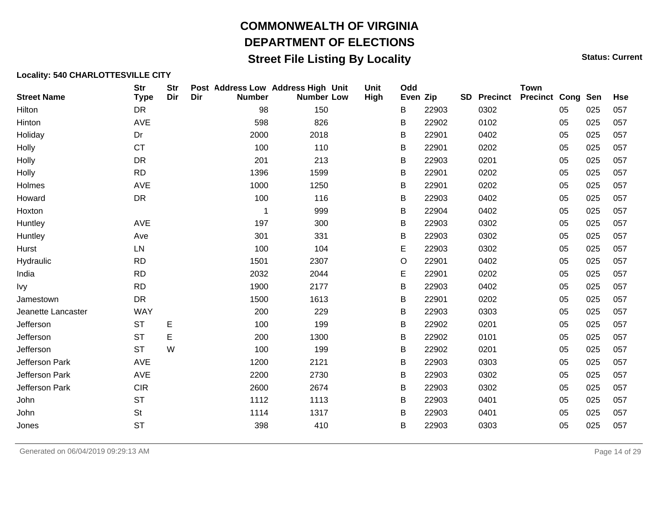## **Street File Listing By Locality Status: Current** Status: Current

| <b>Str</b><br><b>Type</b> | <b>Str</b><br>Dir | Dir | <b>Number</b> |      | <b>Unit</b><br>High                                                                                                                                                                                                                                | Odd |       | SD       | <b>Precinct</b> | <b>Town</b> |    |     | <b>Hse</b>               |
|---------------------------|-------------------|-----|---------------|------|----------------------------------------------------------------------------------------------------------------------------------------------------------------------------------------------------------------------------------------------------|-----|-------|----------|-----------------|-------------|----|-----|--------------------------|
| <b>DR</b>                 |                   |     | 98            |      |                                                                                                                                                                                                                                                    | B   | 22903 |          | 0302            |             | 05 | 025 | 057                      |
| <b>AVE</b>                |                   |     | 598           |      |                                                                                                                                                                                                                                                    | В   | 22902 |          | 0102            |             | 05 | 025 | 057                      |
| Dr                        |                   |     | 2000          |      |                                                                                                                                                                                                                                                    | B   | 22901 |          | 0402            |             | 05 | 025 | 057                      |
| <b>CT</b>                 |                   |     | 100           |      |                                                                                                                                                                                                                                                    | B   | 22901 |          | 0202            |             | 05 | 025 | 057                      |
| <b>DR</b>                 |                   |     | 201           |      |                                                                                                                                                                                                                                                    | B   | 22903 |          | 0201            |             | 05 | 025 | 057                      |
| <b>RD</b>                 |                   |     | 1396          |      |                                                                                                                                                                                                                                                    | B   | 22901 |          | 0202            |             | 05 | 025 | 057                      |
| AVE                       |                   |     | 1000          |      |                                                                                                                                                                                                                                                    | B   | 22901 |          | 0202            |             | 05 | 025 | 057                      |
| <b>DR</b>                 |                   |     | 100           |      |                                                                                                                                                                                                                                                    | B   | 22903 |          | 0402            |             | 05 | 025 | 057                      |
|                           |                   |     | -1            |      |                                                                                                                                                                                                                                                    | В   | 22904 |          | 0402            |             | 05 | 025 | 057                      |
| AVE                       |                   |     | 197           |      |                                                                                                                                                                                                                                                    | B   | 22903 |          | 0302            |             | 05 | 025 | 057                      |
| Ave                       |                   |     | 301           |      |                                                                                                                                                                                                                                                    | B   | 22903 |          | 0302            |             | 05 | 025 | 057                      |
| LN                        |                   |     | 100           |      |                                                                                                                                                                                                                                                    | Е   | 22903 |          | 0302            |             | 05 | 025 | 057                      |
| <b>RD</b>                 |                   |     | 1501          |      |                                                                                                                                                                                                                                                    | O   | 22901 |          | 0402            |             | 05 | 025 | 057                      |
| <b>RD</b>                 |                   |     | 2032          |      |                                                                                                                                                                                                                                                    | E   | 22901 |          | 0202            |             | 05 | 025 | 057                      |
| <b>RD</b>                 |                   |     | 1900          |      |                                                                                                                                                                                                                                                    | B   | 22903 |          | 0402            |             | 05 | 025 | 057                      |
| <b>DR</b>                 |                   |     | 1500          |      |                                                                                                                                                                                                                                                    | B   | 22901 |          | 0202            |             | 05 | 025 | 057                      |
| <b>WAY</b>                |                   |     | 200           |      |                                                                                                                                                                                                                                                    | B   | 22903 |          | 0303            |             | 05 | 025 | 057                      |
| <b>ST</b>                 | E                 |     | 100           |      |                                                                                                                                                                                                                                                    | B   | 22902 |          | 0201            |             | 05 | 025 | 057                      |
| <b>ST</b>                 | E                 |     | 200           |      |                                                                                                                                                                                                                                                    | В   | 22902 |          | 0101            |             | 05 | 025 | 057                      |
| <b>ST</b>                 | W                 |     | 100           |      |                                                                                                                                                                                                                                                    | B   | 22902 |          | 0201            |             | 05 | 025 | 057                      |
| <b>AVE</b>                |                   |     | 1200          |      |                                                                                                                                                                                                                                                    | B   | 22903 |          | 0303            |             | 05 | 025 | 057                      |
| AVE                       |                   |     | 2200          |      |                                                                                                                                                                                                                                                    | B   | 22903 |          | 0302            |             | 05 | 025 | 057                      |
| <b>CIR</b>                |                   |     | 2600          |      |                                                                                                                                                                                                                                                    | B   | 22903 |          | 0302            |             | 05 | 025 | 057                      |
| <b>ST</b>                 |                   |     | 1112          |      |                                                                                                                                                                                                                                                    | B   | 22903 |          | 0401            |             | 05 | 025 | 057                      |
| <b>St</b>                 |                   |     | 1114          |      |                                                                                                                                                                                                                                                    | B   | 22903 |          | 0401            |             | 05 | 025 | 057                      |
| <b>ST</b>                 |                   |     | 398           |      |                                                                                                                                                                                                                                                    | В   | 22903 |          | 0303            |             | 05 | 025 | 057                      |
|                           |                   |     |               | 2121 | Post Address Low Address High Unit<br><b>Number Low</b><br>150<br>826<br>2018<br>110<br>213<br>1599<br>1250<br>116<br>999<br>300<br>331<br>104<br>2307<br>2044<br>2177<br>1613<br>229<br>199<br>1300<br>199<br>2730<br>2674<br>1113<br>1317<br>410 |     |       | Even Zip |                 |             |    |     | <b>Precinct Cong Sen</b> |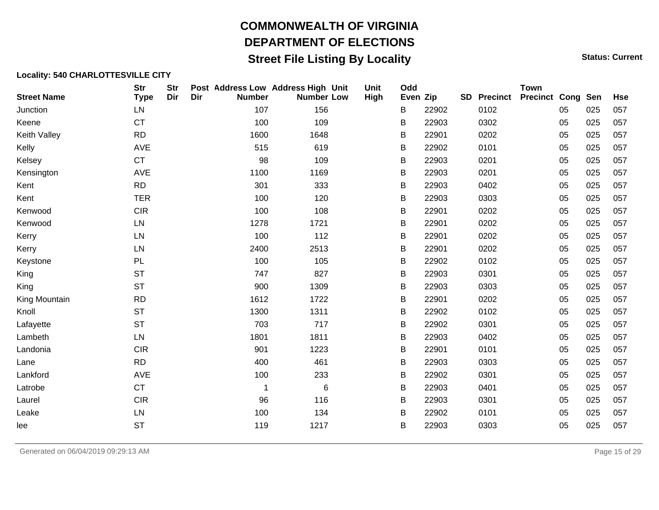## **Street File Listing By Locality Status: Current** Status: Current

| <b>Street Name</b> | <b>Str</b><br><b>Type</b> | <b>Str</b><br>Dir | Dir | Post Address Low Address High Unit<br><b>Number</b> | <b>Number Low</b> | <b>Unit</b><br>High | Odd<br>Even Zip |       | <b>SD</b> | <b>Precinct</b> | <b>Town</b><br><b>Precinct Cong Sen</b> |    |     | <b>Hse</b> |
|--------------------|---------------------------|-------------------|-----|-----------------------------------------------------|-------------------|---------------------|-----------------|-------|-----------|-----------------|-----------------------------------------|----|-----|------------|
| Junction           | LN                        |                   |     | 107                                                 | 156               |                     | B               | 22902 |           | 0102            |                                         | 05 | 025 | 057        |
| Keene              | <b>CT</b>                 |                   |     | 100                                                 | 109               |                     | В               | 22903 |           | 0302            |                                         | 05 | 025 | 057        |
| Keith Valley       | <b>RD</b>                 |                   |     | 1600                                                | 1648              |                     | B               | 22901 |           | 0202            |                                         | 05 | 025 | 057        |
| Kelly              | AVE                       |                   |     | 515                                                 | 619               |                     | B               | 22902 |           | 0101            |                                         | 05 | 025 | 057        |
| Kelsey             | <b>CT</b>                 |                   |     | 98                                                  | 109               |                     | B               | 22903 |           | 0201            |                                         | 05 | 025 | 057        |
| Kensington         | AVE                       |                   |     | 1100                                                | 1169              |                     | B               | 22903 |           | 0201            |                                         | 05 | 025 | 057        |
| Kent               | <b>RD</b>                 |                   |     | 301                                                 | 333               |                     | B               | 22903 |           | 0402            |                                         | 05 | 025 | 057        |
| Kent               | <b>TER</b>                |                   |     | 100                                                 | 120               |                     | B               | 22903 |           | 0303            |                                         | 05 | 025 | 057        |
| Kenwood            | <b>CIR</b>                |                   |     | 100                                                 | 108               |                     | B               | 22901 |           | 0202            |                                         | 05 | 025 | 057        |
| Kenwood            | LN                        |                   |     | 1278                                                | 1721              |                     | B               | 22901 |           | 0202            |                                         | 05 | 025 | 057        |
| Kerry              | LN                        |                   |     | 100                                                 | 112               |                     | B               | 22901 |           | 0202            |                                         | 05 | 025 | 057        |
| Kerry              | LN                        |                   |     | 2400                                                | 2513              |                     | B               | 22901 |           | 0202            |                                         | 05 | 025 | 057        |
| Keystone           | PL                        |                   |     | 100                                                 | 105               |                     | B               | 22902 |           | 0102            |                                         | 05 | 025 | 057        |
| King               | <b>ST</b>                 |                   |     | 747                                                 | 827               |                     | B               | 22903 |           | 0301            |                                         | 05 | 025 | 057        |
| King               | <b>ST</b>                 |                   |     | 900                                                 | 1309              |                     | B               | 22903 |           | 0303            |                                         | 05 | 025 | 057        |
| King Mountain      | <b>RD</b>                 |                   |     | 1612                                                | 1722              |                     | B               | 22901 |           | 0202            |                                         | 05 | 025 | 057        |
| Knoll              | <b>ST</b>                 |                   |     | 1300                                                | 1311              |                     | B               | 22902 |           | 0102            |                                         | 05 | 025 | 057        |
| Lafayette          | <b>ST</b>                 |                   |     | 703                                                 | 717               |                     | B               | 22902 |           | 0301            |                                         | 05 | 025 | 057        |
| Lambeth            | LN                        |                   |     | 1801                                                | 1811              |                     | В               | 22903 |           | 0402            |                                         | 05 | 025 | 057        |
| Landonia           | <b>CIR</b>                |                   |     | 901                                                 | 1223              |                     | B               | 22901 |           | 0101            |                                         | 05 | 025 | 057        |
| Lane               | <b>RD</b>                 |                   |     | 400                                                 | 461               |                     | В               | 22903 |           | 0303            |                                         | 05 | 025 | 057        |
| Lankford           | AVE                       |                   |     | 100                                                 | 233               |                     | B               | 22902 |           | 0301            |                                         | 05 | 025 | 057        |
| Latrobe            | CT                        |                   |     | 1                                                   | 6                 |                     | B               | 22903 |           | 0401            |                                         | 05 | 025 | 057        |
| Laurel             | <b>CIR</b>                |                   |     | 96                                                  | 116               |                     | B               | 22903 |           | 0301            |                                         | 05 | 025 | 057        |
| Leake              | LN                        |                   |     | 100                                                 | 134               |                     | B               | 22902 |           | 0101            |                                         | 05 | 025 | 057        |
| lee                | <b>ST</b>                 |                   |     | 119                                                 | 1217              |                     | В               | 22903 |           | 0303            |                                         | 05 | 025 | 057        |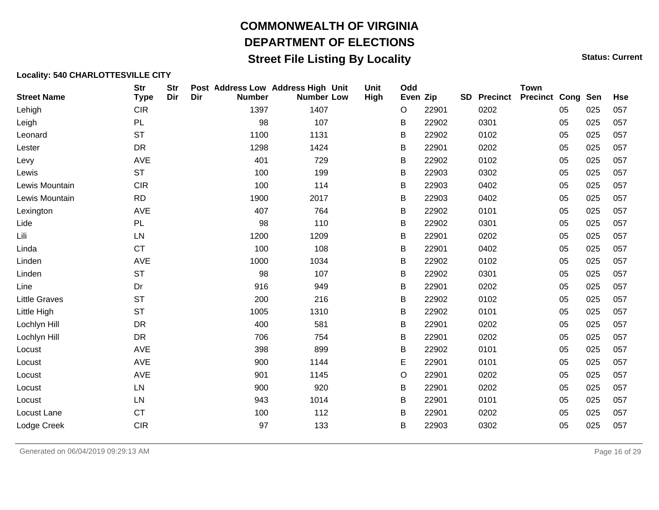## **Street File Listing By Locality Status: Current** Status: Current

| <b>Street Name</b>   | <b>Str</b><br><b>Type</b> | <b>Str</b><br>Dir | Dir | Post Address Low Address High Unit<br><b>Number</b> | <b>Number Low</b> | Unit<br>High | Odd<br>Even Zip |       | SD | <b>Precinct</b> | <b>Town</b><br><b>Precinct Cong Sen</b> |    |     | <b>Hse</b> |
|----------------------|---------------------------|-------------------|-----|-----------------------------------------------------|-------------------|--------------|-----------------|-------|----|-----------------|-----------------------------------------|----|-----|------------|
| Lehigh               | <b>CIR</b>                |                   |     | 1397                                                | 1407              |              | O               | 22901 |    | 0202            |                                         | 05 | 025 | 057        |
| Leigh                | PL                        |                   |     | 98                                                  | 107               |              | В               | 22902 |    | 0301            |                                         | 05 | 025 | 057        |
| Leonard              | <b>ST</b>                 |                   |     | 1100                                                | 1131              |              | B               | 22902 |    | 0102            |                                         | 05 | 025 | 057        |
| Lester               | DR                        |                   |     | 1298                                                | 1424              |              | B               | 22901 |    | 0202            |                                         | 05 | 025 | 057        |
| Levy                 | AVE                       |                   |     | 401                                                 | 729               |              | B               | 22902 |    | 0102            |                                         | 05 | 025 | 057        |
| Lewis                | <b>ST</b>                 |                   |     | 100                                                 | 199               |              | B               | 22903 |    | 0302            |                                         | 05 | 025 | 057        |
| Lewis Mountain       | <b>CIR</b>                |                   |     | 100                                                 | 114               |              | B               | 22903 |    | 0402            |                                         | 05 | 025 | 057        |
| Lewis Mountain       | <b>RD</b>                 |                   |     | 1900                                                | 2017              |              | B               | 22903 |    | 0402            |                                         | 05 | 025 | 057        |
| Lexington            | <b>AVE</b>                |                   |     | 407                                                 | 764               |              | B               | 22902 |    | 0101            |                                         | 05 | 025 | 057        |
| Lide                 | PL                        |                   |     | 98                                                  | 110               |              | B               | 22902 |    | 0301            |                                         | 05 | 025 | 057        |
| Lili                 | LN                        |                   |     | 1200                                                | 1209              |              | B               | 22901 |    | 0202            |                                         | 05 | 025 | 057        |
| Linda                | <b>CT</b>                 |                   |     | 100                                                 | 108               |              | B               | 22901 |    | 0402            |                                         | 05 | 025 | 057        |
| Linden               | AVE                       |                   |     | 1000                                                | 1034              |              | B               | 22902 |    | 0102            |                                         | 05 | 025 | 057        |
| Linden               | <b>ST</b>                 |                   |     | 98                                                  | 107               |              | B               | 22902 |    | 0301            |                                         | 05 | 025 | 057        |
| Line                 | Dr                        |                   |     | 916                                                 | 949               |              | B               | 22901 |    | 0202            |                                         | 05 | 025 | 057        |
| <b>Little Graves</b> | <b>ST</b>                 |                   |     | 200                                                 | 216               |              | B               | 22902 |    | 0102            |                                         | 05 | 025 | 057        |
| Little High          | <b>ST</b>                 |                   |     | 1005                                                | 1310              |              | B               | 22902 |    | 0101            |                                         | 05 | 025 | 057        |
| Lochlyn Hill         | <b>DR</b>                 |                   |     | 400                                                 | 581               |              | B               | 22901 |    | 0202            |                                         | 05 | 025 | 057        |
| Lochlyn Hill         | <b>DR</b>                 |                   |     | 706                                                 | 754               |              | B               | 22901 |    | 0202            |                                         | 05 | 025 | 057        |
| Locust               | AVE                       |                   |     | 398                                                 | 899               |              | B               | 22902 |    | 0101            |                                         | 05 | 025 | 057        |
| Locust               | AVE                       |                   |     | 900                                                 | 1144              |              | Е               | 22901 |    | 0101            |                                         | 05 | 025 | 057        |
| Locust               | AVE                       |                   |     | 901                                                 | 1145              |              | O               | 22901 |    | 0202            |                                         | 05 | 025 | 057        |
| Locust               | LN                        |                   |     | 900                                                 | 920               |              | B               | 22901 |    | 0202            |                                         | 05 | 025 | 057        |
| Locust               | LN                        |                   |     | 943                                                 | 1014              |              | B               | 22901 |    | 0101            |                                         | 05 | 025 | 057        |
| Locust Lane          | <b>CT</b>                 |                   |     | 100                                                 | 112               |              | B               | 22901 |    | 0202            |                                         | 05 | 025 | 057        |
| Lodge Creek          | <b>CIR</b>                |                   |     | 97                                                  | 133               |              | В               | 22903 |    | 0302            |                                         | 05 | 025 | 057        |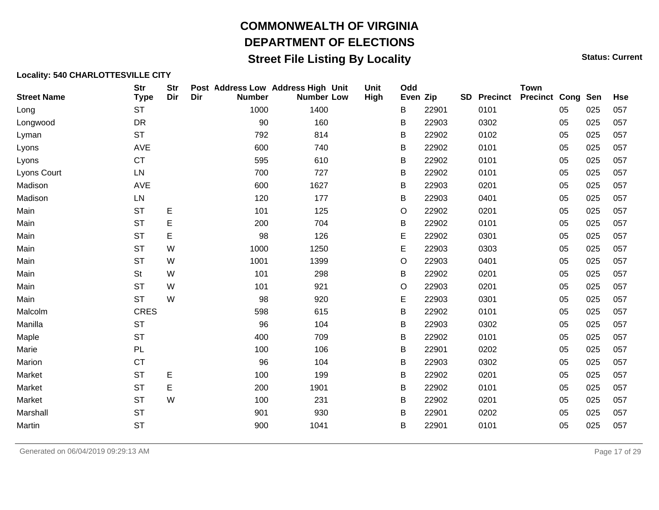## **Street File Listing By Locality Status: Current** Status: Current

| <b>Street Name</b> | <b>Str</b><br><b>Type</b> | <b>Str</b><br>Dir | Dir | <b>Number</b> | Post Address Low Address High Unit<br><b>Number Low</b> | Unit<br>High | Odd<br>Even Zip |       | <b>SD</b> Precinct | <b>Town</b><br><b>Precinct Cong Sen</b> |    |     | Hse |
|--------------------|---------------------------|-------------------|-----|---------------|---------------------------------------------------------|--------------|-----------------|-------|--------------------|-----------------------------------------|----|-----|-----|
| Long               | <b>ST</b>                 |                   |     | 1000          | 1400                                                    |              | В               | 22901 | 0101               |                                         | 05 | 025 | 057 |
| Longwood           | <b>DR</b>                 |                   |     | 90            | 160                                                     |              | B               | 22903 | 0302               |                                         | 05 | 025 | 057 |
| Lyman              | <b>ST</b>                 |                   |     | 792           | 814                                                     |              | в               | 22902 | 0102               |                                         | 05 | 025 | 057 |
| Lyons              | AVE                       |                   |     | 600           | 740                                                     |              | В               | 22902 | 0101               |                                         | 05 | 025 | 057 |
| Lyons              | <b>CT</b>                 |                   |     | 595           | 610                                                     |              | B               | 22902 | 0101               |                                         | 05 | 025 | 057 |
| Lyons Court        | ${\sf LN}$                |                   |     | 700           | 727                                                     |              | B               | 22902 | 0101               |                                         | 05 | 025 | 057 |
| Madison            | AVE                       |                   |     | 600           | 1627                                                    |              | B               | 22903 | 0201               |                                         | 05 | 025 | 057 |
| Madison            | LN                        |                   |     | 120           | 177                                                     |              | В               | 22903 | 0401               |                                         | 05 | 025 | 057 |
| Main               | <b>ST</b>                 | E                 |     | 101           | 125                                                     |              | O               | 22902 | 0201               |                                         | 05 | 025 | 057 |
| Main               | <b>ST</b>                 | Е                 |     | 200           | 704                                                     |              | В               | 22902 | 0101               |                                         | 05 | 025 | 057 |
| Main               | <b>ST</b>                 | E                 |     | 98            | 126                                                     |              | E               | 22902 | 0301               |                                         | 05 | 025 | 057 |
| Main               | <b>ST</b>                 | W                 |     | 1000          | 1250                                                    |              | E               | 22903 | 0303               |                                         | 05 | 025 | 057 |
| Main               | <b>ST</b>                 | W                 |     | 1001          | 1399                                                    |              | O               | 22903 | 0401               |                                         | 05 | 025 | 057 |
| Main               | St                        | W                 |     | 101           | 298                                                     |              | В               | 22902 | 0201               |                                         | 05 | 025 | 057 |
| Main               | <b>ST</b>                 | W                 |     | 101           | 921                                                     |              | O               | 22903 | 0201               |                                         | 05 | 025 | 057 |
| Main               | <b>ST</b>                 | W                 |     | 98            | 920                                                     |              | E               | 22903 | 0301               |                                         | 05 | 025 | 057 |
| Malcolm            | <b>CRES</b>               |                   |     | 598           | 615                                                     |              | В               | 22902 | 0101               |                                         | 05 | 025 | 057 |
| Manilla            | <b>ST</b>                 |                   |     | 96            | 104                                                     |              | B               | 22903 | 0302               |                                         | 05 | 025 | 057 |
| Maple              | <b>ST</b>                 |                   |     | 400           | 709                                                     |              | B               | 22902 | 0101               |                                         | 05 | 025 | 057 |
| Marie              | PL                        |                   |     | 100           | 106                                                     |              | B               | 22901 | 0202               |                                         | 05 | 025 | 057 |
| Marion             | <b>CT</b>                 |                   |     | 96            | 104                                                     |              | B               | 22903 | 0302               |                                         | 05 | 025 | 057 |
| Market             | <b>ST</b>                 | E                 |     | 100           | 199                                                     |              | B               | 22902 | 0201               |                                         | 05 | 025 | 057 |
| Market             | <b>ST</b>                 | E                 |     | 200           | 1901                                                    |              | В               | 22902 | 0101               |                                         | 05 | 025 | 057 |
| Market             | <b>ST</b>                 | W                 |     | 100           | 231                                                     |              | Β               | 22902 | 0201               |                                         | 05 | 025 | 057 |
| Marshall           | <b>ST</b>                 |                   |     | 901           | 930                                                     |              | в               | 22901 | 0202               |                                         | 05 | 025 | 057 |
| Martin             | <b>ST</b>                 |                   |     | 900           | 1041                                                    |              | B               | 22901 | 0101               |                                         | 05 | 025 | 057 |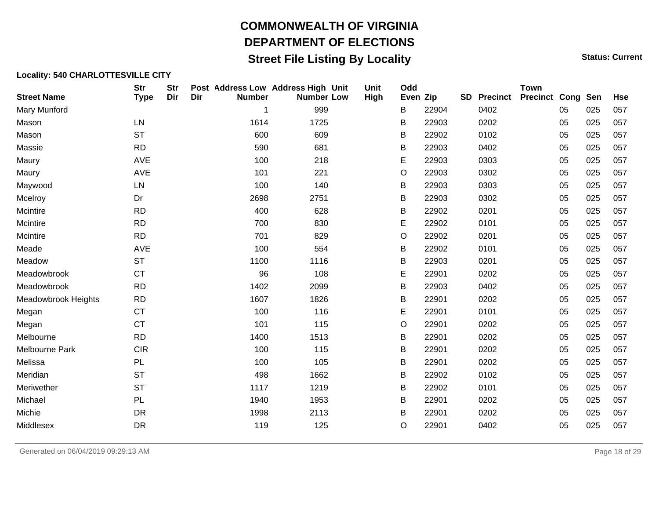## **Street File Listing By Locality Status: Current** Status: Current

| <b>Street Name</b>    | <b>Str</b><br><b>Type</b> | <b>Str</b><br>Dir | Dir | <b>Number</b> | Post Address Low Address High Unit<br><b>Number Low</b> | Unit<br>High | Odd<br>Even Zip |       | <b>SD</b> | <b>Precinct</b> | <b>Town</b><br><b>Precinct Cong Sen</b> |    |     | <b>Hse</b> |
|-----------------------|---------------------------|-------------------|-----|---------------|---------------------------------------------------------|--------------|-----------------|-------|-----------|-----------------|-----------------------------------------|----|-----|------------|
| Mary Munford          |                           |                   |     | 1             | 999                                                     |              | В               | 22904 |           | 0402            |                                         | 05 | 025 | 057        |
| Mason                 | LN                        |                   |     | 1614          | 1725                                                    |              | B               | 22903 |           | 0202            |                                         | 05 | 025 | 057        |
| Mason                 | <b>ST</b>                 |                   |     | 600           | 609                                                     |              | В               | 22902 |           | 0102            |                                         | 05 | 025 | 057        |
| Massie                | <b>RD</b>                 |                   |     | 590           | 681                                                     |              | В               | 22903 |           | 0402            |                                         | 05 | 025 | 057        |
| Maury                 | AVE                       |                   |     | 100           | 218                                                     |              | Ε               | 22903 |           | 0303            |                                         | 05 | 025 | 057        |
| Maury                 | <b>AVE</b>                |                   |     | 101           | 221                                                     |              | O               | 22903 |           | 0302            |                                         | 05 | 025 | 057        |
| Maywood               | LN                        |                   |     | 100           | 140                                                     |              | В               | 22903 |           | 0303            |                                         | 05 | 025 | 057        |
| Mcelroy               | Dr                        |                   |     | 2698          | 2751                                                    |              | B               | 22903 |           | 0302            |                                         | 05 | 025 | 057        |
| Mcintire              | <b>RD</b>                 |                   |     | 400           | 628                                                     |              | В               | 22902 |           | 0201            |                                         | 05 | 025 | 057        |
| Mcintire              | <b>RD</b>                 |                   |     | 700           | 830                                                     |              | Е               | 22902 |           | 0101            |                                         | 05 | 025 | 057        |
| Mcintire              | <b>RD</b>                 |                   |     | 701           | 829                                                     |              | $\circ$         | 22902 |           | 0201            |                                         | 05 | 025 | 057        |
| Meade                 | <b>AVE</b>                |                   |     | 100           | 554                                                     |              | В               | 22902 |           | 0101            |                                         | 05 | 025 | 057        |
| Meadow                | <b>ST</b>                 |                   |     | 1100          | 1116                                                    |              | B               | 22903 |           | 0201            |                                         | 05 | 025 | 057        |
| Meadowbrook           | <b>CT</b>                 |                   |     | 96            | 108                                                     |              | Е               | 22901 |           | 0202            |                                         | 05 | 025 | 057        |
| Meadowbrook           | <b>RD</b>                 |                   |     | 1402          | 2099                                                    |              | В               | 22903 |           | 0402            |                                         | 05 | 025 | 057        |
| Meadowbrook Heights   | <b>RD</b>                 |                   |     | 1607          | 1826                                                    |              | B               | 22901 |           | 0202            |                                         | 05 | 025 | 057        |
| Megan                 | <b>CT</b>                 |                   |     | 100           | 116                                                     |              | Е               | 22901 |           | 0101            |                                         | 05 | 025 | 057        |
| Megan                 | <b>CT</b>                 |                   |     | 101           | 115                                                     |              | O               | 22901 |           | 0202            |                                         | 05 | 025 | 057        |
| Melbourne             | <b>RD</b>                 |                   |     | 1400          | 1513                                                    |              | B               | 22901 |           | 0202            |                                         | 05 | 025 | 057        |
| <b>Melbourne Park</b> | <b>CIR</b>                |                   |     | 100           | 115                                                     |              | B               | 22901 |           | 0202            |                                         | 05 | 025 | 057        |
| Melissa               | PL                        |                   |     | 100           | 105                                                     |              | B               | 22901 |           | 0202            |                                         | 05 | 025 | 057        |
| Meridian              | <b>ST</b>                 |                   |     | 498           | 1662                                                    |              | В               | 22902 |           | 0102            |                                         | 05 | 025 | 057        |
| Meriwether            | <b>ST</b>                 |                   |     | 1117          | 1219                                                    |              | B               | 22902 |           | 0101            |                                         | 05 | 025 | 057        |
| Michael               | PL                        |                   |     | 1940          | 1953                                                    |              | B               | 22901 |           | 0202            |                                         | 05 | 025 | 057        |
| Michie                | <b>DR</b>                 |                   |     | 1998          | 2113                                                    |              | B               | 22901 |           | 0202            |                                         | 05 | 025 | 057        |
| Middlesex             | <b>DR</b>                 |                   |     | 119           | 125                                                     |              | O               | 22901 |           | 0402            |                                         | 05 | 025 | 057        |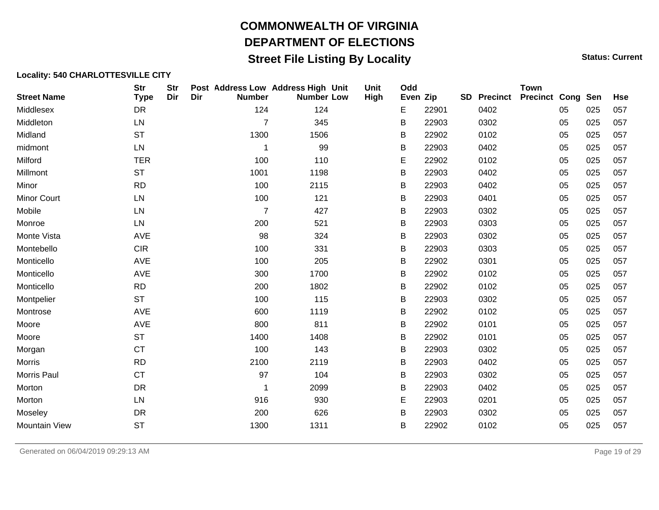## **Street File Listing By Locality Status: Current** Status: Current

| <b>Street Name</b>   | <b>Str</b><br><b>Type</b> | <b>Str</b><br>Dir | Dir | Post Address Low Address High Unit<br><b>Number</b> | <b>Number Low</b> | Unit<br>High | Odd<br>Even Zip |       | <b>SD</b> | <b>Precinct</b> | <b>Town</b><br><b>Precinct Cong Sen</b> |    |     | <b>Hse</b> |
|----------------------|---------------------------|-------------------|-----|-----------------------------------------------------|-------------------|--------------|-----------------|-------|-----------|-----------------|-----------------------------------------|----|-----|------------|
| Middlesex            | DR                        |                   |     | 124                                                 | 124               |              | E               | 22901 |           | 0402            |                                         | 05 | 025 | 057        |
| Middleton            | LN                        |                   |     | $\overline{7}$                                      | 345               |              | В               | 22903 |           | 0302            |                                         | 05 | 025 | 057        |
| Midland              | <b>ST</b>                 |                   |     | 1300                                                | 1506              |              | B               | 22902 |           | 0102            |                                         | 05 | 025 | 057        |
| midmont              | LN                        |                   |     | -1                                                  | 99                |              | B               | 22903 |           | 0402            |                                         | 05 | 025 | 057        |
| Milford              | <b>TER</b>                |                   |     | 100                                                 | 110               |              | Е               | 22902 |           | 0102            |                                         | 05 | 025 | 057        |
| Millmont             | <b>ST</b>                 |                   |     | 1001                                                | 1198              |              | В               | 22903 |           | 0402            |                                         | 05 | 025 | 057        |
| Minor                | <b>RD</b>                 |                   |     | 100                                                 | 2115              |              | B               | 22903 |           | 0402            |                                         | 05 | 025 | 057        |
| <b>Minor Court</b>   | LN                        |                   |     | 100                                                 | 121               |              | Β               | 22903 |           | 0401            |                                         | 05 | 025 | 057        |
| Mobile               | LN                        |                   |     | $\overline{7}$                                      | 427               |              | B               | 22903 |           | 0302            |                                         | 05 | 025 | 057        |
| Monroe               | LN                        |                   |     | 200                                                 | 521               |              | B               | 22903 |           | 0303            |                                         | 05 | 025 | 057        |
| Monte Vista          | <b>AVE</b>                |                   |     | 98                                                  | 324               |              | B               | 22903 |           | 0302            |                                         | 05 | 025 | 057        |
| Montebello           | <b>CIR</b>                |                   |     | 100                                                 | 331               |              | B               | 22903 |           | 0303            |                                         | 05 | 025 | 057        |
| Monticello           | AVE                       |                   |     | 100                                                 | 205               |              | B               | 22902 |           | 0301            |                                         | 05 | 025 | 057        |
| Monticello           | AVE                       |                   |     | 300                                                 | 1700              |              | B               | 22902 |           | 0102            |                                         | 05 | 025 | 057        |
| Monticello           | <b>RD</b>                 |                   |     | 200                                                 | 1802              |              | Β               | 22902 |           | 0102            |                                         | 05 | 025 | 057        |
| Montpelier           | <b>ST</b>                 |                   |     | 100                                                 | 115               |              | B               | 22903 |           | 0302            |                                         | 05 | 025 | 057        |
| Montrose             | <b>AVE</b>                |                   |     | 600                                                 | 1119              |              | B               | 22902 |           | 0102            |                                         | 05 | 025 | 057        |
| Moore                | <b>AVE</b>                |                   |     | 800                                                 | 811               |              | B               | 22902 |           | 0101            |                                         | 05 | 025 | 057        |
| Moore                | <b>ST</b>                 |                   |     | 1400                                                | 1408              |              | B               | 22902 |           | 0101            |                                         | 05 | 025 | 057        |
| Morgan               | <b>CT</b>                 |                   |     | 100                                                 | 143               |              | B               | 22903 |           | 0302            |                                         | 05 | 025 | 057        |
| <b>Morris</b>        | <b>RD</b>                 |                   |     | 2100                                                | 2119              |              | B               | 22903 |           | 0402            |                                         | 05 | 025 | 057        |
| Morris Paul          | <b>CT</b>                 |                   |     | 97                                                  | 104               |              | В               | 22903 |           | 0302            |                                         | 05 | 025 | 057        |
| Morton               | <b>DR</b>                 |                   |     | 1                                                   | 2099              |              | B               | 22903 |           | 0402            |                                         | 05 | 025 | 057        |
| Morton               | LN                        |                   |     | 916                                                 | 930               |              | E               | 22903 |           | 0201            |                                         | 05 | 025 | 057        |
| Moseley              | <b>DR</b>                 |                   |     | 200                                                 | 626               |              | B               | 22903 |           | 0302            |                                         | 05 | 025 | 057        |
| <b>Mountain View</b> | <b>ST</b>                 |                   |     | 1300                                                | 1311              |              | В               | 22902 |           | 0102            |                                         | 05 | 025 | 057        |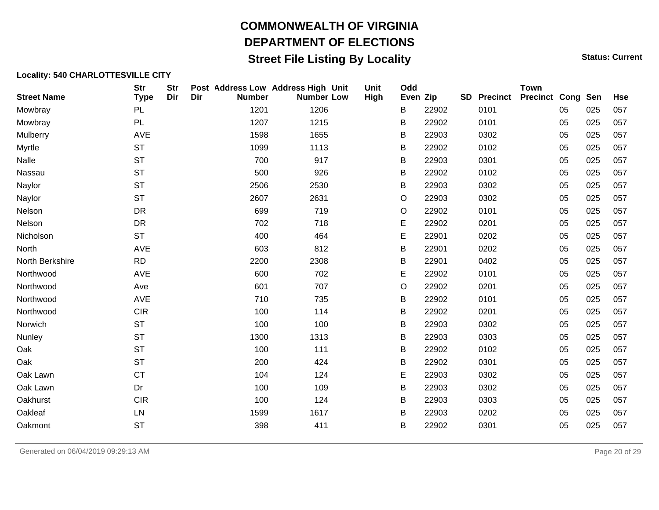## **Street File Listing By Locality Status: Current** Status: Current

#### **Locality: 540 CHARLOTTESVILLE CITY**

| <b>Street Name</b> | <b>Str</b><br><b>Type</b> | <b>Str</b><br>Dir | Dir | Post Address Low Address High Unit<br><b>Number</b> | <b>Number Low</b> | Unit<br>High | Odd<br>Even Zip |       | <b>SD</b> Precinct | <b>Town</b><br><b>Precinct Cong Sen</b> |    |     | <b>Hse</b> |
|--------------------|---------------------------|-------------------|-----|-----------------------------------------------------|-------------------|--------------|-----------------|-------|--------------------|-----------------------------------------|----|-----|------------|
| Mowbray            | PL                        |                   |     | 1201                                                | 1206              |              | B               | 22902 | 0101               |                                         | 05 | 025 | 057        |
| Mowbray            | PL                        |                   |     | 1207                                                | 1215              |              | B               | 22902 | 0101               |                                         | 05 | 025 | 057        |
| Mulberry           | AVE                       |                   |     | 1598                                                | 1655              |              | B               | 22903 | 0302               |                                         | 05 | 025 | 057        |
| Myrtle             | <b>ST</b>                 |                   |     | 1099                                                | 1113              |              | В               | 22902 | 0102               |                                         | 05 | 025 | 057        |
| Nalle              | <b>ST</b>                 |                   |     | 700                                                 | 917               |              | B               | 22903 | 0301               |                                         | 05 | 025 | 057        |
| Nassau             | <b>ST</b>                 |                   |     | 500                                                 | 926               |              | B               | 22902 | 0102               |                                         | 05 | 025 | 057        |
| Naylor             | <b>ST</b>                 |                   |     | 2506                                                | 2530              |              | В               | 22903 | 0302               |                                         | 05 | 025 | 057        |
| Naylor             | <b>ST</b>                 |                   |     | 2607                                                | 2631              |              | O               | 22903 | 0302               |                                         | 05 | 025 | 057        |
| Nelson             | <b>DR</b>                 |                   |     | 699                                                 | 719               |              | O               | 22902 | 0101               |                                         | 05 | 025 | 057        |
| Nelson             | DR                        |                   |     | 702                                                 | 718               |              | Е               | 22902 | 0201               |                                         | 05 | 025 | 057        |
| Nicholson          | <b>ST</b>                 |                   |     | 400                                                 | 464               |              | Е               | 22901 | 0202               |                                         | 05 | 025 | 057        |
| North              | <b>AVE</b>                |                   |     | 603                                                 | 812               |              | В               | 22901 | 0202               |                                         | 05 | 025 | 057        |
| North Berkshire    | <b>RD</b>                 |                   |     | 2200                                                | 2308              |              | B               | 22901 | 0402               |                                         | 05 | 025 | 057        |
| Northwood          | <b>AVE</b>                |                   |     | 600                                                 | 702               |              | Е               | 22902 | 0101               |                                         | 05 | 025 | 057        |
| Northwood          | Ave                       |                   |     | 601                                                 | 707               |              | O               | 22902 | 0201               |                                         | 05 | 025 | 057        |
| Northwood          | AVE                       |                   |     | 710                                                 | 735               |              | B               | 22902 | 0101               |                                         | 05 | 025 | 057        |
| Northwood          | <b>CIR</b>                |                   |     | 100                                                 | 114               |              | B               | 22902 | 0201               |                                         | 05 | 025 | 057        |
| Norwich            | <b>ST</b>                 |                   |     | 100                                                 | 100               |              | B               | 22903 | 0302               |                                         | 05 | 025 | 057        |
| Nunley             | <b>ST</b>                 |                   |     | 1300                                                | 1313              |              | B               | 22903 | 0303               |                                         | 05 | 025 | 057        |
| Oak                | <b>ST</b>                 |                   |     | 100                                                 | 111               |              | B               | 22902 | 0102               |                                         | 05 | 025 | 057        |
| Oak                | <b>ST</b>                 |                   |     | 200                                                 | 424               |              | B               | 22902 | 0301               |                                         | 05 | 025 | 057        |
| Oak Lawn           | <b>CT</b>                 |                   |     | 104                                                 | 124               |              | Е               | 22903 | 0302               |                                         | 05 | 025 | 057        |
| Oak Lawn           | Dr                        |                   |     | 100                                                 | 109               |              | B               | 22903 | 0302               |                                         | 05 | 025 | 057        |
| Oakhurst           | <b>CIR</b>                |                   |     | 100                                                 | 124               |              | B               | 22903 | 0303               |                                         | 05 | 025 | 057        |
| Oakleaf            | LN                        |                   |     | 1599                                                | 1617              |              | B               | 22903 | 0202               |                                         | 05 | 025 | 057        |
| Oakmont            | <b>ST</b>                 |                   |     | 398                                                 | 411               |              | B               | 22902 | 0301               |                                         | 05 | 025 | 057        |

Generated on 06/04/2019 09:29:13 AM Page 20 of 29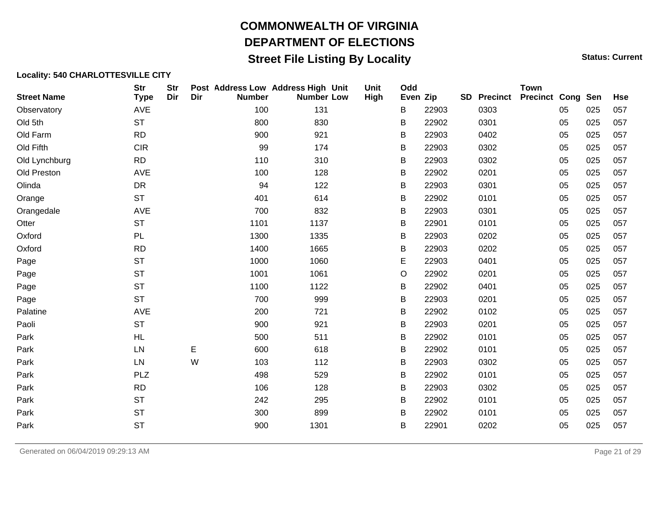## **Street File Listing By Locality Status: Current** Status: Current

| <b>Street Name</b> | <b>Str</b><br><b>Type</b> | <b>Str</b><br>Dir | Dir | Post Address Low Address High Unit<br><b>Number</b> | <b>Number Low</b> | Unit<br>High | Odd<br>Even Zip |       | <b>SD</b> Precinct | <b>Town</b><br><b>Precinct Cong Sen</b> |    |     | <b>Hse</b> |
|--------------------|---------------------------|-------------------|-----|-----------------------------------------------------|-------------------|--------------|-----------------|-------|--------------------|-----------------------------------------|----|-----|------------|
| Observatory        | AVE                       |                   |     | 100                                                 | 131               |              | B               | 22903 | 0303               |                                         | 05 | 025 | 057        |
| Old 5th            | <b>ST</b>                 |                   |     | 800                                                 | 830               |              | B               | 22902 | 0301               |                                         | 05 | 025 | 057        |
| Old Farm           | <b>RD</b>                 |                   |     | 900                                                 | 921               |              | В               | 22903 | 0402               |                                         | 05 | 025 | 057        |
| Old Fifth          | <b>CIR</b>                |                   |     | 99                                                  | 174               |              | B               | 22903 | 0302               |                                         | 05 | 025 | 057        |
| Old Lynchburg      | <b>RD</b>                 |                   |     | 110                                                 | 310               |              | B               | 22903 | 0302               |                                         | 05 | 025 | 057        |
| Old Preston        | AVE                       |                   |     | 100                                                 | 128               |              | В               | 22902 | 0201               |                                         | 05 | 025 | 057        |
| Olinda             | DR                        |                   |     | 94                                                  | 122               |              | В               | 22903 | 0301               |                                         | 05 | 025 | 057        |
| Orange             | <b>ST</b>                 |                   |     | 401                                                 | 614               |              | В               | 22902 | 0101               |                                         | 05 | 025 | 057        |
| Orangedale         | AVE                       |                   |     | 700                                                 | 832               |              | В               | 22903 | 0301               |                                         | 05 | 025 | 057        |
| Otter              | <b>ST</b>                 |                   |     | 1101                                                | 1137              |              | B               | 22901 | 0101               |                                         | 05 | 025 | 057        |
| Oxford             | PL                        |                   |     | 1300                                                | 1335              |              | B               | 22903 | 0202               |                                         | 05 | 025 | 057        |
| Oxford             | <b>RD</b>                 |                   |     | 1400                                                | 1665              |              | В               | 22903 | 0202               |                                         | 05 | 025 | 057        |
| Page               | <b>ST</b>                 |                   |     | 1000                                                | 1060              |              | E               | 22903 | 0401               |                                         | 05 | 025 | 057        |
| Page               | <b>ST</b>                 |                   |     | 1001                                                | 1061              |              | O               | 22902 | 0201               |                                         | 05 | 025 | 057        |
| Page               | <b>ST</b>                 |                   |     | 1100                                                | 1122              |              | В               | 22902 | 0401               |                                         | 05 | 025 | 057        |
| Page               | <b>ST</b>                 |                   |     | 700                                                 | 999               |              | В               | 22903 | 0201               |                                         | 05 | 025 | 057        |
| Palatine           | AVE                       |                   |     | 200                                                 | 721               |              | B               | 22902 | 0102               |                                         | 05 | 025 | 057        |
| Paoli              | <b>ST</b>                 |                   |     | 900                                                 | 921               |              | В               | 22903 | 0201               |                                         | 05 | 025 | 057        |
| Park               | <b>HL</b>                 |                   |     | 500                                                 | 511               |              | В               | 22902 | 0101               |                                         | 05 | 025 | 057        |
| Park               | LN                        |                   | E   | 600                                                 | 618               |              | В               | 22902 | 0101               |                                         | 05 | 025 | 057        |
| Park               | LN                        |                   | W   | 103                                                 | 112               |              | В               | 22903 | 0302               |                                         | 05 | 025 | 057        |
| Park               | <b>PLZ</b>                |                   |     | 498                                                 | 529               |              | B               | 22902 | 0101               |                                         | 05 | 025 | 057        |
| Park               | <b>RD</b>                 |                   |     | 106                                                 | 128               |              | В               | 22903 | 0302               |                                         | 05 | 025 | 057        |
| Park               | <b>ST</b>                 |                   |     | 242                                                 | 295               |              | В               | 22902 | 0101               |                                         | 05 | 025 | 057        |
| Park               | <b>ST</b>                 |                   |     | 300                                                 | 899               |              | В               | 22902 | 0101               |                                         | 05 | 025 | 057        |
| Park               | <b>ST</b>                 |                   |     | 900                                                 | 1301              |              | В               | 22901 | 0202               |                                         | 05 | 025 | 057        |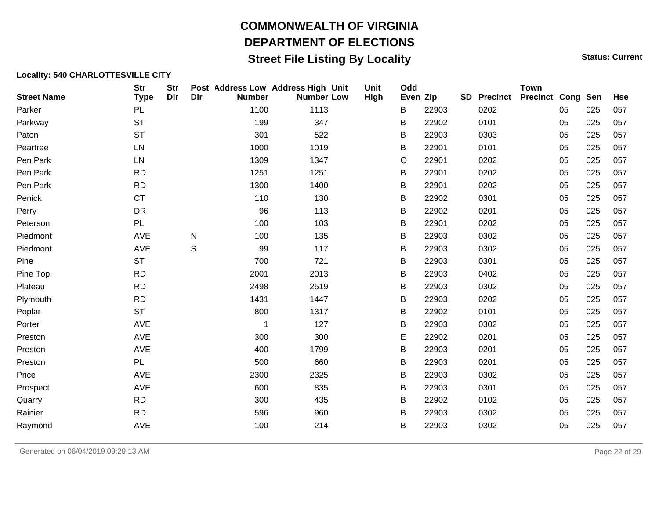## **Street File Listing By Locality Status: Current** Status: Current

| <b>Street Name</b> | <b>Str</b><br><b>Type</b> | <b>Str</b><br>Dir | Dir          | Post Address Low Address High Unit<br><b>Number</b> | <b>Number Low</b> | Unit<br>High | Odd<br>Even Zip |       | <b>SD</b> | <b>Precinct</b> | <b>Town</b><br><b>Precinct Cong Sen</b> |    |     | <b>Hse</b> |
|--------------------|---------------------------|-------------------|--------------|-----------------------------------------------------|-------------------|--------------|-----------------|-------|-----------|-----------------|-----------------------------------------|----|-----|------------|
| Parker             | <b>PL</b>                 |                   |              | 1100                                                | 1113              |              | В               | 22903 |           | 0202            |                                         | 05 | 025 | 057        |
| Parkway            | <b>ST</b>                 |                   |              | 199                                                 | 347               |              | B               | 22902 |           | 0101            |                                         | 05 | 025 | 057        |
| Paton              | <b>ST</b>                 |                   |              | 301                                                 | 522               |              | B               | 22903 |           | 0303            |                                         | 05 | 025 | 057        |
| Peartree           | LN                        |                   |              | 1000                                                | 1019              |              | B               | 22901 |           | 0101            |                                         | 05 | 025 | 057        |
| Pen Park           | LN                        |                   |              | 1309                                                | 1347              |              | O               | 22901 |           | 0202            |                                         | 05 | 025 | 057        |
| Pen Park           | <b>RD</b>                 |                   |              | 1251                                                | 1251              |              | B               | 22901 |           | 0202            |                                         | 05 | 025 | 057        |
| Pen Park           | <b>RD</b>                 |                   |              | 1300                                                | 1400              |              | B               | 22901 |           | 0202            |                                         | 05 | 025 | 057        |
| Penick             | <b>CT</b>                 |                   |              | 110                                                 | 130               |              | B               | 22902 |           | 0301            |                                         | 05 | 025 | 057        |
| Perry              | DR                        |                   |              | 96                                                  | 113               |              | B               | 22902 |           | 0201            |                                         | 05 | 025 | 057        |
| Peterson           | PL                        |                   |              | 100                                                 | 103               |              | B               | 22901 |           | 0202            |                                         | 05 | 025 | 057        |
| Piedmont           | <b>AVE</b>                |                   | $\mathsf{N}$ | 100                                                 | 135               |              | В               | 22903 |           | 0302            |                                         | 05 | 025 | 057        |
| Piedmont           | AVE                       |                   | S            | 99                                                  | 117               |              | В               | 22903 |           | 0302            |                                         | 05 | 025 | 057        |
| Pine               | <b>ST</b>                 |                   |              | 700                                                 | 721               |              | B               | 22903 |           | 0301            |                                         | 05 | 025 | 057        |
| Pine Top           | <b>RD</b>                 |                   |              | 2001                                                | 2013              |              | B               | 22903 |           | 0402            |                                         | 05 | 025 | 057        |
| Plateau            | <b>RD</b>                 |                   |              | 2498                                                | 2519              |              | В               | 22903 |           | 0302            |                                         | 05 | 025 | 057        |
| Plymouth           | <b>RD</b>                 |                   |              | 1431                                                | 1447              |              | B               | 22903 |           | 0202            |                                         | 05 | 025 | 057        |
| Poplar             | <b>ST</b>                 |                   |              | 800                                                 | 1317              |              | В               | 22902 |           | 0101            |                                         | 05 | 025 | 057        |
| Porter             | AVE                       |                   |              | 1                                                   | 127               |              | B               | 22903 |           | 0302            |                                         | 05 | 025 | 057        |
| Preston            | <b>AVE</b>                |                   |              | 300                                                 | 300               |              | Е               | 22902 |           | 0201            |                                         | 05 | 025 | 057        |
| Preston            | AVE                       |                   |              | 400                                                 | 1799              |              | B               | 22903 |           | 0201            |                                         | 05 | 025 | 057        |
| Preston            | <b>PL</b>                 |                   |              | 500                                                 | 660               |              | В               | 22903 |           | 0201            |                                         | 05 | 025 | 057        |
| Price              | <b>AVE</b>                |                   |              | 2300                                                | 2325              |              | B               | 22903 |           | 0302            |                                         | 05 | 025 | 057        |
| Prospect           | <b>AVE</b>                |                   |              | 600                                                 | 835               |              | В               | 22903 |           | 0301            |                                         | 05 | 025 | 057        |
| Quarry             | <b>RD</b>                 |                   |              | 300                                                 | 435               |              | B               | 22902 |           | 0102            |                                         | 05 | 025 | 057        |
| Rainier            | <b>RD</b>                 |                   |              | 596                                                 | 960               |              | B               | 22903 |           | 0302            |                                         | 05 | 025 | 057        |
| Raymond            | AVE                       |                   |              | 100                                                 | 214               |              | B               | 22903 |           | 0302            |                                         | 05 | 025 | 057        |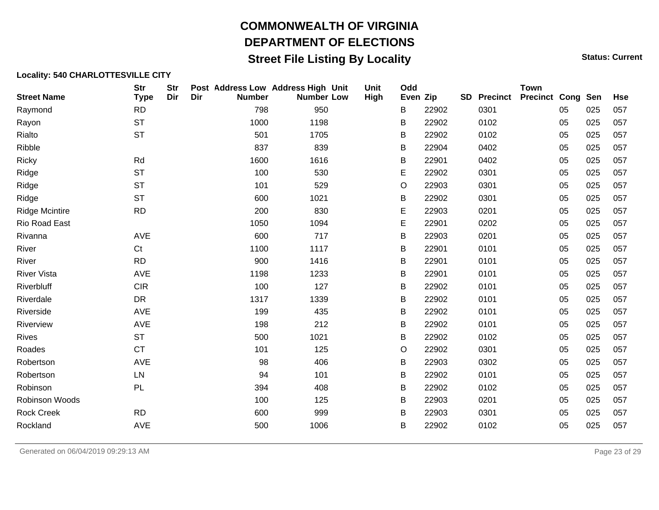## **Street File Listing By Locality Status: Current** Status: Current

#### **Locality: 540 CHARLOTTESVILLE CITY**

| <b>Street Name</b>    | <b>Str</b><br><b>Type</b> | <b>Str</b><br>Dir | Dir | Post Address Low Address High Unit<br><b>Number</b> | <b>Number Low</b> | Unit<br>High | Odd<br>Even Zip |       | <b>SD</b> | <b>Precinct</b> | <b>Town</b><br><b>Precinct Cong Sen</b> |    |     | <b>Hse</b> |
|-----------------------|---------------------------|-------------------|-----|-----------------------------------------------------|-------------------|--------------|-----------------|-------|-----------|-----------------|-----------------------------------------|----|-----|------------|
| Raymond               | <b>RD</b>                 |                   |     | 798                                                 | 950               |              | B               | 22902 |           | 0301            |                                         | 05 | 025 | 057        |
| Rayon                 | <b>ST</b>                 |                   |     | 1000                                                | 1198              |              | B               | 22902 |           | 0102            |                                         | 05 | 025 | 057        |
| Rialto                | <b>ST</b>                 |                   |     | 501                                                 | 1705              |              | B               | 22902 |           | 0102            |                                         | 05 | 025 | 057        |
| Ribble                |                           |                   |     | 837                                                 | 839               |              | В               | 22904 |           | 0402            |                                         | 05 | 025 | 057        |
| <b>Ricky</b>          | Rd                        |                   |     | 1600                                                | 1616              |              | B               | 22901 |           | 0402            |                                         | 05 | 025 | 057        |
| Ridge                 | <b>ST</b>                 |                   |     | 100                                                 | 530               |              | Е               | 22902 |           | 0301            |                                         | 05 | 025 | 057        |
| Ridge                 | <b>ST</b>                 |                   |     | 101                                                 | 529               |              | $\circ$         | 22903 |           | 0301            |                                         | 05 | 025 | 057        |
| Ridge                 | <b>ST</b>                 |                   |     | 600                                                 | 1021              |              | B               | 22902 |           | 0301            |                                         | 05 | 025 | 057        |
| <b>Ridge Mcintire</b> | <b>RD</b>                 |                   |     | 200                                                 | 830               |              | Е               | 22903 |           | 0201            |                                         | 05 | 025 | 057        |
| Rio Road East         |                           |                   |     | 1050                                                | 1094              |              | E               | 22901 |           | 0202            |                                         | 05 | 025 | 057        |
| Rivanna               | <b>AVE</b>                |                   |     | 600                                                 | 717               |              | B               | 22903 |           | 0201            |                                         | 05 | 025 | 057        |
| River                 | C <sub>t</sub>            |                   |     | 1100                                                | 1117              |              | B               | 22901 |           | 0101            |                                         | 05 | 025 | 057        |
| River                 | <b>RD</b>                 |                   |     | 900                                                 | 1416              |              | B               | 22901 |           | 0101            |                                         | 05 | 025 | 057        |
| <b>River Vista</b>    | AVE                       |                   |     | 1198                                                | 1233              |              | B               | 22901 |           | 0101            |                                         | 05 | 025 | 057        |
| Riverbluff            | <b>CIR</b>                |                   |     | 100                                                 | 127               |              | В               | 22902 |           | 0101            |                                         | 05 | 025 | 057        |
| Riverdale             | DR                        |                   |     | 1317                                                | 1339              |              | B               | 22902 |           | 0101            |                                         | 05 | 025 | 057        |
| Riverside             | <b>AVE</b>                |                   |     | 199                                                 | 435               |              | B               | 22902 |           | 0101            |                                         | 05 | 025 | 057        |
| Riverview             | AVE                       |                   |     | 198                                                 | 212               |              | B               | 22902 |           | 0101            |                                         | 05 | 025 | 057        |
| <b>Rives</b>          | <b>ST</b>                 |                   |     | 500                                                 | 1021              |              | B               | 22902 |           | 0102            |                                         | 05 | 025 | 057        |
| Roades                | <b>CT</b>                 |                   |     | 101                                                 | 125               |              | $\circ$         | 22902 |           | 0301            |                                         | 05 | 025 | 057        |
| Robertson             | <b>AVE</b>                |                   |     | 98                                                  | 406               |              | В               | 22903 |           | 0302            |                                         | 05 | 025 | 057        |
| Robertson             | ${\sf LN}$                |                   |     | 94                                                  | 101               |              | B               | 22902 |           | 0101            |                                         | 05 | 025 | 057        |
| Robinson              | PL                        |                   |     | 394                                                 | 408               |              | B               | 22902 |           | 0102            |                                         | 05 | 025 | 057        |
| Robinson Woods        |                           |                   |     | 100                                                 | 125               |              | B               | 22903 |           | 0201            |                                         | 05 | 025 | 057        |
| <b>Rock Creek</b>     | <b>RD</b>                 |                   |     | 600                                                 | 999               |              | B               | 22903 |           | 0301            |                                         | 05 | 025 | 057        |
| Rockland              | <b>AVE</b>                |                   |     | 500                                                 | 1006              |              | B               | 22902 |           | 0102            |                                         | 05 | 025 | 057        |

Generated on 06/04/2019 09:29:13 AM Page 23 of 29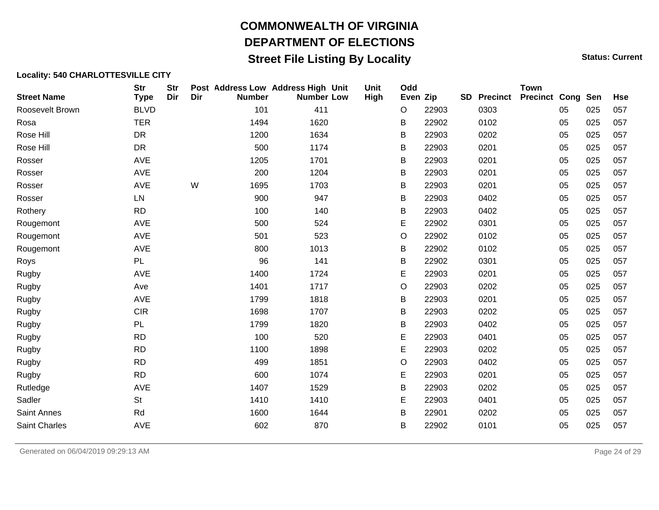## **Street File Listing By Locality Status: Current** Status: Current

| <b>Street Name</b> | <b>Str</b><br><b>Type</b> | <b>Str</b><br>Dir | Dir | Post Address Low Address High Unit<br><b>Number</b> | <b>Number Low</b> | Unit<br>High | Odd<br>Even Zip |       | <b>SD</b> | <b>Precinct</b> | <b>Town</b><br><b>Precinct Cong Sen</b> |    |     | <b>Hse</b> |
|--------------------|---------------------------|-------------------|-----|-----------------------------------------------------|-------------------|--------------|-----------------|-------|-----------|-----------------|-----------------------------------------|----|-----|------------|
| Roosevelt Brown    | <b>BLVD</b>               |                   |     | 101                                                 | 411               |              | O               | 22903 |           | 0303            |                                         | 05 | 025 | 057        |
| Rosa               | <b>TER</b>                |                   |     | 1494                                                | 1620              |              | В               | 22902 |           | 0102            |                                         | 05 | 025 | 057        |
| Rose Hill          | DR                        |                   |     | 1200                                                | 1634              |              | B               | 22903 |           | 0202            |                                         | 05 | 025 | 057        |
| Rose Hill          | DR                        |                   |     | 500                                                 | 1174              |              | B               | 22903 |           | 0201            |                                         | 05 | 025 | 057        |
| Rosser             | <b>AVE</b>                |                   |     | 1205                                                | 1701              |              | B               | 22903 |           | 0201            |                                         | 05 | 025 | 057        |
| Rosser             | AVE                       |                   |     | 200                                                 | 1204              |              | B               | 22903 |           | 0201            |                                         | 05 | 025 | 057        |
| Rosser             | AVE                       |                   | W   | 1695                                                | 1703              |              | B               | 22903 |           | 0201            |                                         | 05 | 025 | 057        |
| Rosser             | LN                        |                   |     | 900                                                 | 947               |              | B               | 22903 |           | 0402            |                                         | 05 | 025 | 057        |
| Rothery            | <b>RD</b>                 |                   |     | 100                                                 | 140               |              | B               | 22903 |           | 0402            |                                         | 05 | 025 | 057        |
| Rougemont          | AVE                       |                   |     | 500                                                 | 524               |              | E               | 22902 |           | 0301            |                                         | 05 | 025 | 057        |
| Rougemont          | <b>AVE</b>                |                   |     | 501                                                 | 523               |              | O               | 22902 |           | 0102            |                                         | 05 | 025 | 057        |
| Rougemont          | <b>AVE</b>                |                   |     | 800                                                 | 1013              |              | В               | 22902 |           | 0102            |                                         | 05 | 025 | 057        |
| Roys               | PL                        |                   |     | 96                                                  | 141               |              | Β               | 22902 |           | 0301            |                                         | 05 | 025 | 057        |
| Rugby              | AVE                       |                   |     | 1400                                                | 1724              |              | E               | 22903 |           | 0201            |                                         | 05 | 025 | 057        |
| Rugby              | Ave                       |                   |     | 1401                                                | 1717              |              | O               | 22903 |           | 0202            |                                         | 05 | 025 | 057        |
| Rugby              | AVE                       |                   |     | 1799                                                | 1818              |              | B               | 22903 |           | 0201            |                                         | 05 | 025 | 057        |
| Rugby              | <b>CIR</b>                |                   |     | 1698                                                | 1707              |              | B               | 22903 |           | 0202            |                                         | 05 | 025 | 057        |
| Rugby              | PL                        |                   |     | 1799                                                | 1820              |              | B               | 22903 |           | 0402            |                                         | 05 | 025 | 057        |
| Rugby              | <b>RD</b>                 |                   |     | 100                                                 | 520               |              | E               | 22903 |           | 0401            |                                         | 05 | 025 | 057        |
| Rugby              | <b>RD</b>                 |                   |     | 1100                                                | 1898              |              | E               | 22903 |           | 0202            |                                         | 05 | 025 | 057        |
| Rugby              | <b>RD</b>                 |                   |     | 499                                                 | 1851              |              | O               | 22903 |           | 0402            |                                         | 05 | 025 | 057        |
| Rugby              | <b>RD</b>                 |                   |     | 600                                                 | 1074              |              | E               | 22903 |           | 0201            |                                         | 05 | 025 | 057        |
| Rutledge           | AVE                       |                   |     | 1407                                                | 1529              |              | B               | 22903 |           | 0202            |                                         | 05 | 025 | 057        |
| Sadler             | <b>St</b>                 |                   |     | 1410                                                | 1410              |              | E               | 22903 |           | 0401            |                                         | 05 | 025 | 057        |
| <b>Saint Annes</b> | Rd                        |                   |     | 1600                                                | 1644              |              | В               | 22901 |           | 0202            |                                         | 05 | 025 | 057        |
| Saint Charles      | AVE                       |                   |     | 602                                                 | 870               |              | В               | 22902 |           | 0101            |                                         | 05 | 025 | 057        |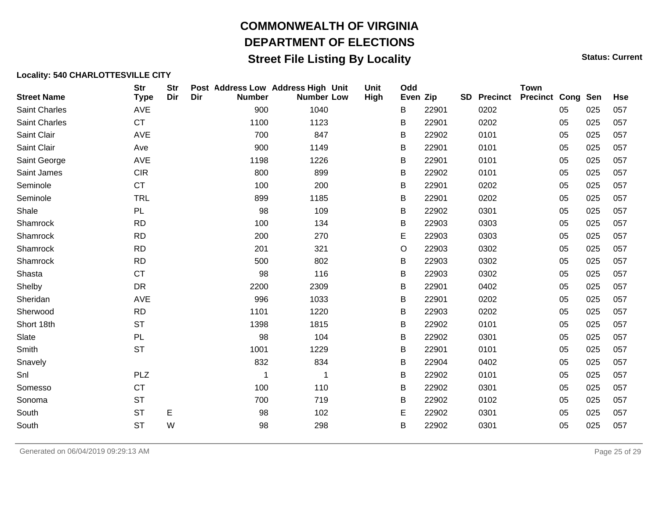## **Street File Listing By Locality Status: Current** Status: Current

| <b>Street Name</b>   | <b>Str</b><br><b>Type</b> | <b>Str</b><br>Dir | Dir | Post Address Low Address High Unit<br><b>Number</b> | <b>Number Low</b> | Unit<br>High | Odd<br>Even Zip |       | <b>SD</b> | <b>Precinct</b> | <b>Town</b><br><b>Precinct Cong Sen</b> |    |     | <b>Hse</b> |
|----------------------|---------------------------|-------------------|-----|-----------------------------------------------------|-------------------|--------------|-----------------|-------|-----------|-----------------|-----------------------------------------|----|-----|------------|
| Saint Charles        | AVE                       |                   |     | 900                                                 | 1040              |              | B               | 22901 |           | 0202            |                                         | 05 | 025 | 057        |
| <b>Saint Charles</b> | <b>CT</b>                 |                   |     | 1100                                                | 1123              |              | В               | 22901 |           | 0202            |                                         | 05 | 025 | 057        |
| Saint Clair          | AVE                       |                   |     | 700                                                 | 847               |              | В               | 22902 |           | 0101            |                                         | 05 | 025 | 057        |
| Saint Clair          | Ave                       |                   |     | 900                                                 | 1149              |              | В               | 22901 |           | 0101            |                                         | 05 | 025 | 057        |
| Saint George         | <b>AVE</b>                |                   |     | 1198                                                | 1226              |              | В               | 22901 |           | 0101            |                                         | 05 | 025 | 057        |
| Saint James          | <b>CIR</b>                |                   |     | 800                                                 | 899               |              | В               | 22902 |           | 0101            |                                         | 05 | 025 | 057        |
| Seminole             | <b>CT</b>                 |                   |     | 100                                                 | 200               |              | В               | 22901 |           | 0202            |                                         | 05 | 025 | 057        |
| Seminole             | <b>TRL</b>                |                   |     | 899                                                 | 1185              |              | В               | 22901 |           | 0202            |                                         | 05 | 025 | 057        |
| Shale                | PL                        |                   |     | 98                                                  | 109               |              | B               | 22902 |           | 0301            |                                         | 05 | 025 | 057        |
| Shamrock             | <b>RD</b>                 |                   |     | 100                                                 | 134               |              | В               | 22903 |           | 0303            |                                         | 05 | 025 | 057        |
| Shamrock             | <b>RD</b>                 |                   |     | 200                                                 | 270               |              | Е               | 22903 |           | 0303            |                                         | 05 | 025 | 057        |
| Shamrock             | <b>RD</b>                 |                   |     | 201                                                 | 321               |              | O               | 22903 |           | 0302            |                                         | 05 | 025 | 057        |
| Shamrock             | <b>RD</b>                 |                   |     | 500                                                 | 802               |              | В               | 22903 |           | 0302            |                                         | 05 | 025 | 057        |
| Shasta               | <b>CT</b>                 |                   |     | 98                                                  | 116               |              | В               | 22903 |           | 0302            |                                         | 05 | 025 | 057        |
| Shelby               | <b>DR</b>                 |                   |     | 2200                                                | 2309              |              | B               | 22901 |           | 0402            |                                         | 05 | 025 | 057        |
| Sheridan             | <b>AVE</b>                |                   |     | 996                                                 | 1033              |              | В               | 22901 |           | 0202            |                                         | 05 | 025 | 057        |
| Sherwood             | <b>RD</b>                 |                   |     | 1101                                                | 1220              |              | В               | 22903 |           | 0202            |                                         | 05 | 025 | 057        |
| Short 18th           | <b>ST</b>                 |                   |     | 1398                                                | 1815              |              | В               | 22902 |           | 0101            |                                         | 05 | 025 | 057        |
| Slate                | PL                        |                   |     | 98                                                  | 104               |              | В               | 22902 |           | 0301            |                                         | 05 | 025 | 057        |
| Smith                | <b>ST</b>                 |                   |     | 1001                                                | 1229              |              | В               | 22901 |           | 0101            |                                         | 05 | 025 | 057        |
| Snavely              |                           |                   |     | 832                                                 | 834               |              | В               | 22904 |           | 0402            |                                         | 05 | 025 | 057        |
| Snl                  | <b>PLZ</b>                |                   |     | 1                                                   | $\mathbf 1$       |              | В               | 22902 |           | 0101            |                                         | 05 | 025 | 057        |
| Somesso              | CT                        |                   |     | 100                                                 | 110               |              | В               | 22902 |           | 0301            |                                         | 05 | 025 | 057        |
| Sonoma               | <b>ST</b>                 |                   |     | 700                                                 | 719               |              | B               | 22902 |           | 0102            |                                         | 05 | 025 | 057        |
| South                | <b>ST</b>                 | Е                 |     | 98                                                  | 102               |              | Е               | 22902 |           | 0301            |                                         | 05 | 025 | 057        |
| South                | <b>ST</b>                 | W                 |     | 98                                                  | 298               |              | В               | 22902 |           | 0301            |                                         | 05 | 025 | 057        |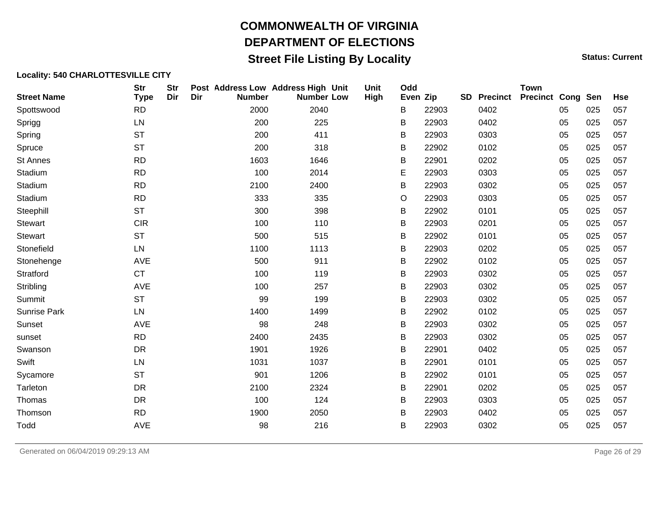## **Street File Listing By Locality Status: Current** Status: Current

| <b>Street Name</b>  | <b>Str</b><br><b>Type</b> | <b>Str</b><br>Dir | Dir | Post Address Low Address High Unit<br><b>Number</b> | <b>Number Low</b> | <b>Unit</b><br>High | Odd<br>Even Zip |       | <b>SD</b> | <b>Precinct</b> | <b>Town</b><br><b>Precinct Cong Sen</b> |    |     | <b>Hse</b> |
|---------------------|---------------------------|-------------------|-----|-----------------------------------------------------|-------------------|---------------------|-----------------|-------|-----------|-----------------|-----------------------------------------|----|-----|------------|
| Spottswood          | <b>RD</b>                 |                   |     | 2000                                                | 2040              |                     | B               | 22903 |           | 0402            |                                         | 05 | 025 | 057        |
| Sprigg              | LN                        |                   |     | 200                                                 | 225               |                     | B               | 22903 |           | 0402            |                                         | 05 | 025 | 057        |
| Spring              | <b>ST</b>                 |                   |     | 200                                                 | 411               |                     | B               | 22903 |           | 0303            |                                         | 05 | 025 | 057        |
| Spruce              | <b>ST</b>                 |                   |     | 200                                                 | 318               |                     | B               | 22902 |           | 0102            |                                         | 05 | 025 | 057        |
| St Annes            | <b>RD</b>                 |                   |     | 1603                                                | 1646              |                     | B               | 22901 |           | 0202            |                                         | 05 | 025 | 057        |
| Stadium             | <b>RD</b>                 |                   |     | 100                                                 | 2014              |                     | Е               | 22903 |           | 0303            |                                         | 05 | 025 | 057        |
| Stadium             | <b>RD</b>                 |                   |     | 2100                                                | 2400              |                     | B               | 22903 |           | 0302            |                                         | 05 | 025 | 057        |
| Stadium             | <b>RD</b>                 |                   |     | 333                                                 | 335               |                     | O               | 22903 |           | 0303            |                                         | 05 | 025 | 057        |
| Steephill           | <b>ST</b>                 |                   |     | 300                                                 | 398               |                     | В               | 22902 |           | 0101            |                                         | 05 | 025 | 057        |
| <b>Stewart</b>      | <b>CIR</b>                |                   |     | 100                                                 | 110               |                     | B               | 22903 |           | 0201            |                                         | 05 | 025 | 057        |
| <b>Stewart</b>      | <b>ST</b>                 |                   |     | 500                                                 | 515               |                     | B               | 22902 |           | 0101            |                                         | 05 | 025 | 057        |
| Stonefield          | LN                        |                   |     | 1100                                                | 1113              |                     | B               | 22903 |           | 0202            |                                         | 05 | 025 | 057        |
| Stonehenge          | AVE                       |                   |     | 500                                                 | 911               |                     | B               | 22902 |           | 0102            |                                         | 05 | 025 | 057        |
| Stratford           | <b>CT</b>                 |                   |     | 100                                                 | 119               |                     | B               | 22903 |           | 0302            |                                         | 05 | 025 | 057        |
| Stribling           | AVE                       |                   |     | 100                                                 | 257               |                     | B               | 22903 |           | 0302            |                                         | 05 | 025 | 057        |
| Summit              | <b>ST</b>                 |                   |     | 99                                                  | 199               |                     | B               | 22903 |           | 0302            |                                         | 05 | 025 | 057        |
| <b>Sunrise Park</b> | LN                        |                   |     | 1400                                                | 1499              |                     | B               | 22902 |           | 0102            |                                         | 05 | 025 | 057        |
| Sunset              | AVE                       |                   |     | 98                                                  | 248               |                     | B               | 22903 |           | 0302            |                                         | 05 | 025 | 057        |
| sunset              | <b>RD</b>                 |                   |     | 2400                                                | 2435              |                     | В               | 22903 |           | 0302            |                                         | 05 | 025 | 057        |
| Swanson             | DR                        |                   |     | 1901                                                | 1926              |                     | B               | 22901 |           | 0402            |                                         | 05 | 025 | 057        |
| Swift               | LN                        |                   |     | 1031                                                | 1037              |                     | В               | 22901 |           | 0101            |                                         | 05 | 025 | 057        |
| Sycamore            | <b>ST</b>                 |                   |     | 901                                                 | 1206              |                     | B               | 22902 |           | 0101            |                                         | 05 | 025 | 057        |
| Tarleton            | <b>DR</b>                 |                   |     | 2100                                                | 2324              |                     | B               | 22901 |           | 0202            |                                         | 05 | 025 | 057        |
| Thomas              | DR                        |                   |     | 100                                                 | 124               |                     | B               | 22903 |           | 0303            |                                         | 05 | 025 | 057        |
| Thomson             | <b>RD</b>                 |                   |     | 1900                                                | 2050              |                     | B               | 22903 |           | 0402            |                                         | 05 | 025 | 057        |
| Todd                | AVE                       |                   |     | 98                                                  | 216               |                     | В               | 22903 |           | 0302            |                                         | 05 | 025 | 057        |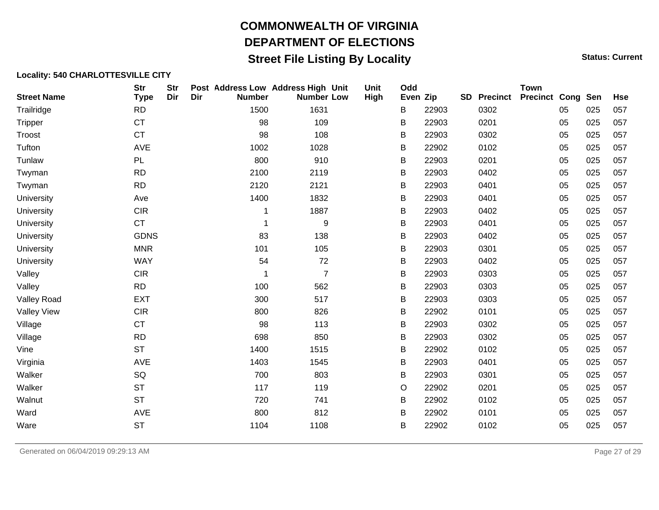## **Street File Listing By Locality Status: Current** Status: Current

| <b>Street Name</b> | <b>Str</b><br><b>Type</b> | <b>Str</b><br>Dir | Dir | Post Address Low Address High Unit<br><b>Number</b> | <b>Number Low</b> | Unit<br>High | Odd<br>Even Zip |       | <b>SD</b> | <b>Precinct</b> | <b>Town</b><br><b>Precinct Cong Sen</b> |    |     | <b>Hse</b> |
|--------------------|---------------------------|-------------------|-----|-----------------------------------------------------|-------------------|--------------|-----------------|-------|-----------|-----------------|-----------------------------------------|----|-----|------------|
| Trailridge         | <b>RD</b>                 |                   |     | 1500                                                | 1631              |              | B               | 22903 |           | 0302            |                                         | 05 | 025 | 057        |
| <b>Tripper</b>     | <b>CT</b>                 |                   |     | 98                                                  | 109               |              | B               | 22903 |           | 0201            |                                         | 05 | 025 | 057        |
| Troost             | <b>CT</b>                 |                   |     | 98                                                  | 108               |              | B               | 22903 |           | 0302            |                                         | 05 | 025 | 057        |
| Tufton             | AVE                       |                   |     | 1002                                                | 1028              |              | B               | 22902 |           | 0102            |                                         | 05 | 025 | 057        |
| Tunlaw             | PL                        |                   |     | 800                                                 | 910               |              | B               | 22903 |           | 0201            |                                         | 05 | 025 | 057        |
| Twyman             | <b>RD</b>                 |                   |     | 2100                                                | 2119              |              | B               | 22903 |           | 0402            |                                         | 05 | 025 | 057        |
| Twyman             | <b>RD</b>                 |                   |     | 2120                                                | 2121              |              | B               | 22903 |           | 0401            |                                         | 05 | 025 | 057        |
| University         | Ave                       |                   |     | 1400                                                | 1832              |              | B               | 22903 |           | 0401            |                                         | 05 | 025 | 057        |
| University         | <b>CIR</b>                |                   |     |                                                     | 1887              |              | B               | 22903 |           | 0402            |                                         | 05 | 025 | 057        |
| University         | <b>CT</b>                 |                   |     | 1                                                   | 9                 |              | B               | 22903 |           | 0401            |                                         | 05 | 025 | 057        |
| University         | <b>GDNS</b>               |                   |     | 83                                                  | 138               |              | B               | 22903 |           | 0402            |                                         | 05 | 025 | 057        |
| University         | <b>MNR</b>                |                   |     | 101                                                 | 105               |              | В               | 22903 |           | 0301            |                                         | 05 | 025 | 057        |
| University         | <b>WAY</b>                |                   |     | 54                                                  | 72                |              | Β               | 22903 |           | 0402            |                                         | 05 | 025 | 057        |
| Valley             | <b>CIR</b>                |                   |     | 1                                                   | $\overline{7}$    |              | B               | 22903 |           | 0303            |                                         | 05 | 025 | 057        |
| Valley             | <b>RD</b>                 |                   |     | 100                                                 | 562               |              | B               | 22903 |           | 0303            |                                         | 05 | 025 | 057        |
| <b>Valley Road</b> | <b>EXT</b>                |                   |     | 300                                                 | 517               |              | B               | 22903 |           | 0303            |                                         | 05 | 025 | 057        |
| <b>Valley View</b> | <b>CIR</b>                |                   |     | 800                                                 | 826               |              | B               | 22902 |           | 0101            |                                         | 05 | 025 | 057        |
| Village            | <b>CT</b>                 |                   |     | 98                                                  | 113               |              | В               | 22903 |           | 0302            |                                         | 05 | 025 | 057        |
| Village            | <b>RD</b>                 |                   |     | 698                                                 | 850               |              | B               | 22903 |           | 0302            |                                         | 05 | 025 | 057        |
| Vine               | <b>ST</b>                 |                   |     | 1400                                                | 1515              |              | B               | 22902 |           | 0102            |                                         | 05 | 025 | 057        |
| Virginia           | AVE                       |                   |     | 1403                                                | 1545              |              | B               | 22903 |           | 0401            |                                         | 05 | 025 | 057        |
| Walker             | SQ                        |                   |     | 700                                                 | 803               |              | B               | 22903 |           | 0301            |                                         | 05 | 025 | 057        |
| Walker             | <b>ST</b>                 |                   |     | 117                                                 | 119               |              | $\circ$         | 22902 |           | 0201            |                                         | 05 | 025 | 057        |
| Walnut             | <b>ST</b>                 |                   |     | 720                                                 | 741               |              | В               | 22902 |           | 0102            |                                         | 05 | 025 | 057        |
| Ward               | AVE                       |                   |     | 800                                                 | 812               |              | B               | 22902 |           | 0101            |                                         | 05 | 025 | 057        |
| Ware               | <b>ST</b>                 |                   |     | 1104                                                | 1108              |              | B               | 22902 |           | 0102            |                                         | 05 | 025 | 057        |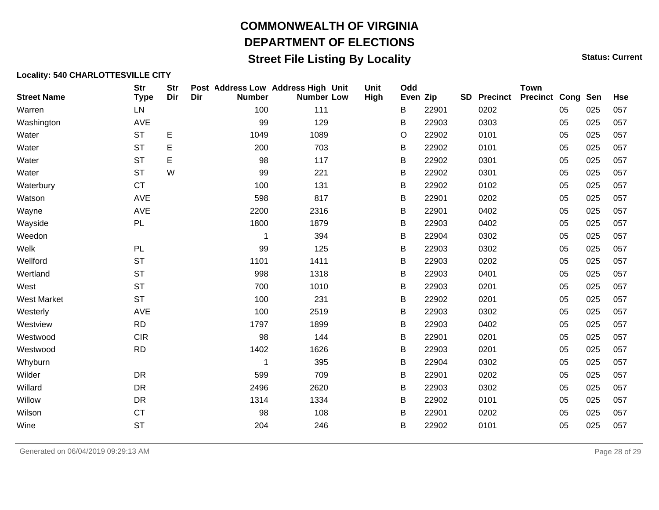## **Street File Listing By Locality Status: Current** Status: Current

#### **Locality: 540 CHARLOTTESVILLE CITY**

| <b>Street Name</b> | <b>Str</b><br><b>Type</b> | <b>Str</b><br>Dir | Dir | <b>Number</b> | Post Address Low Address High Unit<br><b>Number Low</b> | Unit<br><b>High</b> | Odd<br>Even Zip |       | SD | <b>Precinct</b> | <b>Town</b><br><b>Precinct Cong Sen</b> |    |     | <b>Hse</b> |
|--------------------|---------------------------|-------------------|-----|---------------|---------------------------------------------------------|---------------------|-----------------|-------|----|-----------------|-----------------------------------------|----|-----|------------|
| Warren             | LN                        |                   |     | 100           | 111                                                     |                     | В               | 22901 |    | 0202            |                                         | 05 | 025 | 057        |
| Washington         | AVE                       |                   |     | 99            | 129                                                     |                     | В               | 22903 |    | 0303            |                                         | 05 | 025 | 057        |
| Water              | <b>ST</b>                 | E                 |     | 1049          | 1089                                                    |                     | O               | 22902 |    | 0101            |                                         | 05 | 025 | 057        |
| Water              | <b>ST</b>                 | E                 |     | 200           | 703                                                     |                     | В               | 22902 |    | 0101            |                                         | 05 | 025 | 057        |
| Water              | <b>ST</b>                 | E                 |     | 98            | 117                                                     |                     | В               | 22902 |    | 0301            |                                         | 05 | 025 | 057        |
| Water              | <b>ST</b>                 | W                 |     | 99            | 221                                                     |                     | В               | 22902 |    | 0301            |                                         | 05 | 025 | 057        |
| Waterbury          | <b>CT</b>                 |                   |     | 100           | 131                                                     |                     | B               | 22902 |    | 0102            |                                         | 05 | 025 | 057        |
| Watson             | AVE                       |                   |     | 598           | 817                                                     |                     | В               | 22901 |    | 0202            |                                         | 05 | 025 | 057        |
| Wayne              | AVE                       |                   |     | 2200          | 2316                                                    |                     | В               | 22901 |    | 0402            |                                         | 05 | 025 | 057        |
| Wayside            | PL                        |                   |     | 1800          | 1879                                                    |                     | В               | 22903 |    | 0402            |                                         | 05 | 025 | 057        |
| Weedon             |                           |                   |     | 1             | 394                                                     |                     | В               | 22904 |    | 0302            |                                         | 05 | 025 | 057        |
| Welk               | PL                        |                   |     | 99            | 125                                                     |                     | B               | 22903 |    | 0302            |                                         | 05 | 025 | 057        |
| Wellford           | <b>ST</b>                 |                   |     | 1101          | 1411                                                    |                     | В               | 22903 |    | 0202            |                                         | 05 | 025 | 057        |
| Wertland           | <b>ST</b>                 |                   |     | 998           | 1318                                                    |                     | В               | 22903 |    | 0401            |                                         | 05 | 025 | 057        |
| West               | <b>ST</b>                 |                   |     | 700           | 1010                                                    |                     | В               | 22903 |    | 0201            |                                         | 05 | 025 | 057        |
| <b>West Market</b> | <b>ST</b>                 |                   |     | 100           | 231                                                     |                     | В               | 22902 |    | 0201            |                                         | 05 | 025 | 057        |
| Westerly           | AVE                       |                   |     | 100           | 2519                                                    |                     | В               | 22903 |    | 0302            |                                         | 05 | 025 | 057        |
| Westview           | <b>RD</b>                 |                   |     | 1797          | 1899                                                    |                     | В               | 22903 |    | 0402            |                                         | 05 | 025 | 057        |
| Westwood           | <b>CIR</b>                |                   |     | 98            | 144                                                     |                     | B               | 22901 |    | 0201            |                                         | 05 | 025 | 057        |
| Westwood           | <b>RD</b>                 |                   |     | 1402          | 1626                                                    |                     | В               | 22903 |    | 0201            |                                         | 05 | 025 | 057        |
| Whyburn            |                           |                   |     | 1             | 395                                                     |                     | В               | 22904 |    | 0302            |                                         | 05 | 025 | 057        |
| Wilder             | DR                        |                   |     | 599           | 709                                                     |                     | B               | 22901 |    | 0202            |                                         | 05 | 025 | 057        |
| Willard            | <b>DR</b>                 |                   |     | 2496          | 2620                                                    |                     | B               | 22903 |    | 0302            |                                         | 05 | 025 | 057        |
| Willow             | <b>DR</b>                 |                   |     | 1314          | 1334                                                    |                     | В               | 22902 |    | 0101            |                                         | 05 | 025 | 057        |
| Wilson             | <b>CT</b>                 |                   |     | 98            | 108                                                     |                     | В               | 22901 |    | 0202            |                                         | 05 | 025 | 057        |
| Wine               | <b>ST</b>                 |                   |     | 204           | 246                                                     |                     | В               | 22902 |    | 0101            |                                         | 05 | 025 | 057        |

Generated on 06/04/2019 09:29:13 AM Page 28 of 29